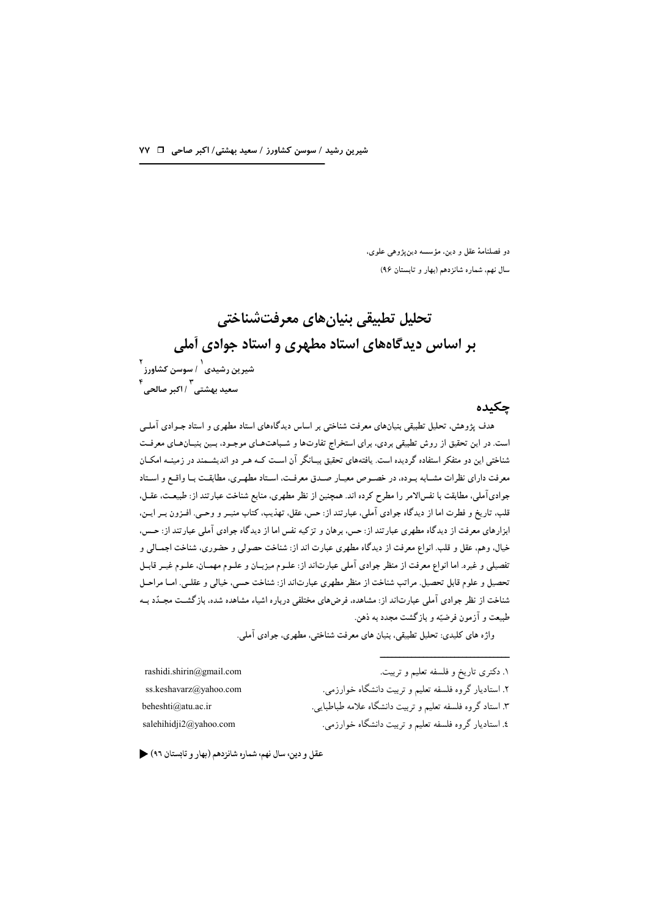دو فصلنامهٔ عقل و دین، مؤسسه دینپژوهی علوی، سال نهم، شماره شانزدهم (بهار و تابستان ۹۶)

# تحليل تطبيقي بنيان هاي معرفتشناختي بر اساس دیدگاههای استاد مطهری و استاد جوادی آملی ۲<br>شیرین رشیدی / سوسن کشاورز <sup>۲</sup> ۴<br>سعید بهشتے, / اکب صالحہ.

### حكىدە

هدف پژوهش، تحلیل تطبیقی بنیانهای معرفت شناختی بر اساس دیدگاههای استاد مطهری و استاد جـوادی آملــی است. در این تحقیق از روش تطبیقی بردی، برای استخراج تفاوتها و شـباهتهـای موجـود، بـین بنیـانهـای معرفـت شناختی این دو متفکر استفاده گردیده است. یافتههای تحقیق بیـانگر آن اسـت کـه هـر دو اندیشـمند در زمینــه امکـان معرفت داراي نظرات مشـابه بـوده، در خصـوص معيـار صـدق معرفـت، اسـتاد مطهـري، مطابقـت بـا واقـع و اسـتاد جوادي آملي، مطابقت با نفسالامر را مطرح كرده اند. همچنين از نظر مطهري، منابع شناخت عبارتند از: طبيعت، عقـل، قلب، تاریخ و فطرت اما از دیدگاه جوادی آملی، عبارتند از: حس، عقل، تهذیب، کتاب منیـر و وحـی. افــزون بــر ایــن، ابزارهای معرفت از دیدگاه مطهری عبارتند از: حس، برهان و تزکیه نفس اما از دیدگاه جوادی آملی عبارتند از: حـس، خیال، وهم، عقل و قلب. انواع معرفت از دیدگاه مطهری عبارت اند از: شناخت حصولی و حضوری، شناخت اجمــالی و تفصیلی و غیره. اما انواع معرفت از منظر جوادی آملی عبارتاند از: علـوم میزبـان و علـوم مهمـان، علـوم غیـر قابـل تحصیل و علوم قابل تحصیل. مراتب شناخت از منظر مطهری عبارتاند از: شناخت حسی، خیالی و عقلـی. امـا مراحـل شناخت از نظر جوادی آملی عبارتاند از: مشاهده، فرضهای مختلفی درباره اشیاء مشاهده شده، بازگشـت مجـدّد بــه طبیعت و آزمون فرضیّه و بازگشت مجدد به ذهن.

واژه های کلیدی: تحلیل تطبیقی، بنیان های معرفت شناختی، مطهری، جوادی آملی.

۱. دکتری تاریخ و فلسفه تعلیم و تربیت. rashidi.shirin@gmail.com ۲. استادیار گروه فلسفه تعلیم و تربیت دانشگاه خوارزمی. ss.keshavarz@yahoo.com ۳. استاد گروه فلسفه تعلیم و تربیت دانشگاه علامه طباطبایی. beheshti@atu.ac.ir ٤. استادیار گروه فلسفه تعلیم و تربیت دانشگاه خوارزمی. salehihidji2@yahoo.com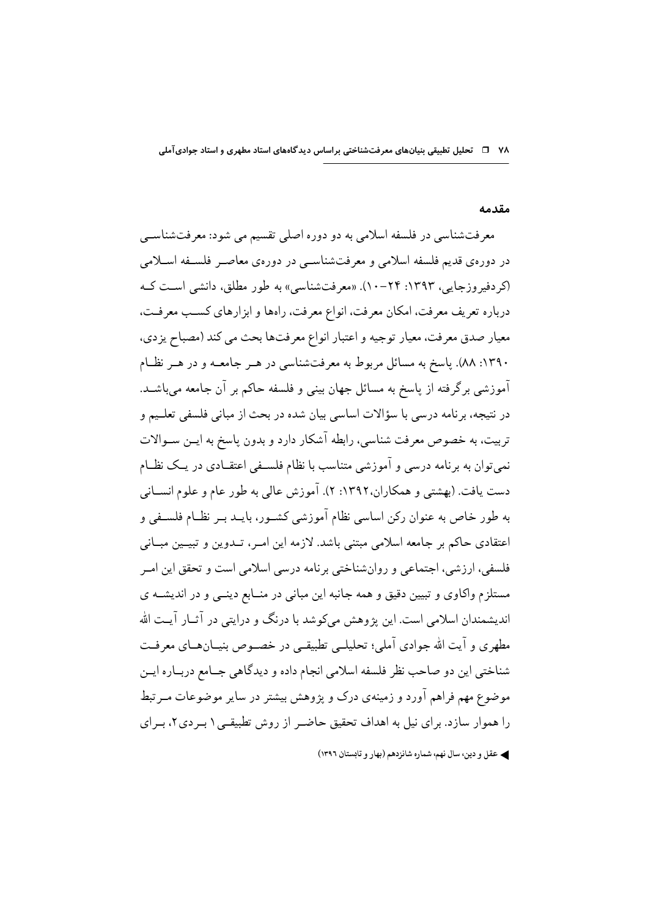۷۸٪ □ تحلیل تطبیقی بنیانهای معرفتشناختی براساس دیدگاههای استاد مطهری و استاد جوادیآملی

#### مقدمه

معرفتشناسی در فلسفه اسلامی به دو دوره اصلی تقسیم می شود: معرفتشناسبی در دورهی قدیم فلسفه اسلامی و معرفتشناسـی در دورهی معاصـر فلسـفه اسـلامی (کر دفیر وزجایی، ۱۳۹۳: ۲۴-۱۰). «معرفتشناسی» به طور مطلق، دانشی است کـه درباره تعريف معرفت، امكان معرفت، انواع معرفت، راهها و ابزارهاي كسب معرفت. معيار صدق معرفت، معيار توجيه و اعتبار انواع معرفتها بحث مي كند (مصباح يزدي، ۱۳۹۰: ۸۸). پاسخ به مسائل مربوط به معرفتشناسی در هـر جامعـه و در هـر نظـام آموزشي برگرفته از پاسخ به مسائل جهان بيني و فلسفه حاكم بر آن جامعه مي باشـد. در نتيجه، برنامه درسي با سؤالات اساسي بيان شده در بحث از مباني فلسفي تعلــيم و تربیت، به خصوص معرفت شناسی، رابطه آشکار دارد و بدون پاسخ به ایــن ســوالات نمی توان به بر نامه درسی و آموزشی متناسب با نظام فلسـفی اعتقــادی در یـک نظــام دست یافت. (بهشتی و همکاران،۱۳۹۲: ۲). آموزش عالی به طور عام و علوم انســانی به طور خاص به عنوان رکن اساسی نظام آموزشی کشـور، بایــد بــر نظــام فلســفی و اعتقادی حاکم بر جامعه اسلامی مبتنی باشد. لازمه این امـر، تــدوین و تبیــین مبــانی فلسفي، ارزشي، اجتماعي و روانشناختي برنامه درسي اسلامي است و تحقق اين امـر مستلزم واکاوي و تبيين دقيق و همه جانبه اين مباني در منــابع دينــي و در انديشــه ي اندیشمندان اسلامی است. این یژوهش میکوشد با درنگ و درایتی در آثــار آیــت الله مطهری و آیت الله جوادی آملی؛ تحلیلــی تطبیقــی در خصــوص بنیــانهــای معرفــت شناختي اين دو صاحب نظر فلسفه اسلامي انجام داده و ديدگاهي جـامع دربـاره ايــن موضوع مهم فراهم آورد و زمینهی درک و یژوهش بیشتر در سایر موضوعات مــر تبط را هموار سازد. برای نیل به اهداف تحقیق حاضـر از روش تطبیقـی ۱ بـر دی ۲، بـرای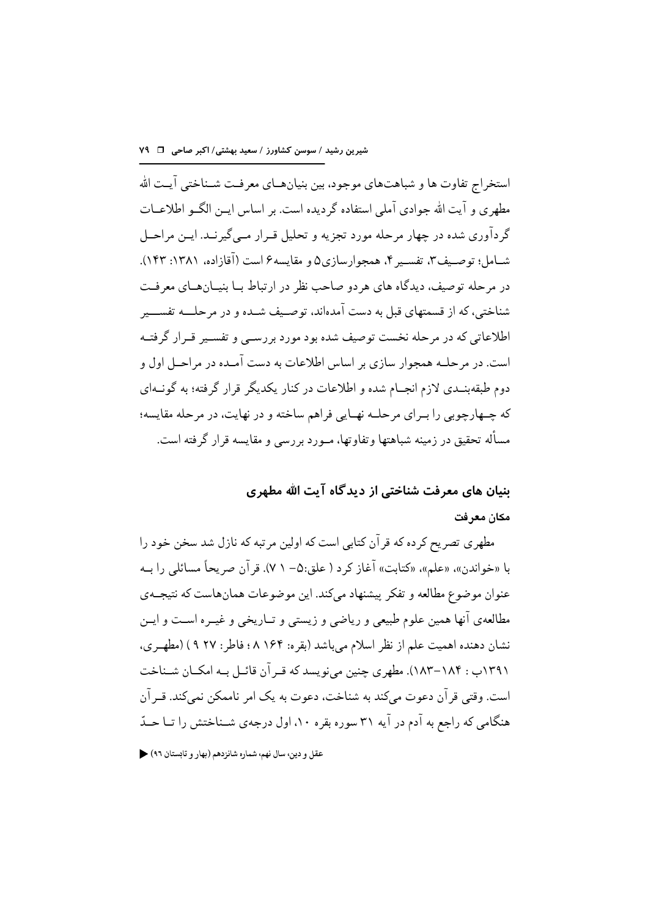استخراج تفاوت ها و شباهتهای موجود، بین بنیانهــای معرفـت شــناخته ٍ آیــت الله مطهری و آیت الله جوادی آملی استفاده گردیده است. بر اساس ایــن الگــو اطلاعــات گر دآوري شده در چهار مرحله مورد تجزيه و تحليل قبرار مبي گيرنيد. اين مراحيل شـامل؛ توصـيف٣، تفسـير۴، همجوارسازي٥ و مقايسه۶ است (آقازاده، ١٣٨١: ١۴٣). در مرحله توصیف، دیدگاه های هر دو صاحب نظر در ارتباط بــا بنیــان هــای معرفــت شناختی، که از قسمتهای قبل به دست آمدهاند، توصیف شـده و در مرحلـــه تفســـیر اطلاعاتی که در مرحله نخست توصیف شده بود مورد بررســی و تفســیر قــرار گرفتــه است. در مرحلــه همجوار سازي بر اساس اطلاعات به دست آمــده در مراحــل اول و دوم طبقهبنــدي لازم انجــام شده و اطلاعات در کنار یکدیگر قرار گرفته؛ به گونــهای که چهارچوبی را به ای مرحلـه نهـایی فراهم ساخته و در نهایت، در مرحله مقایسه؛ مسأله تحقیق در زمینه شباهتها وتفاوتها، مــورد بررسی و مقایسه قرار گرفته است.

# بنیان های معرفت شناختی از دیدگاه آیت الله مطهری مكان معرفت

مطهری تصریح کرده که قر آن کتابی است که اولین مرتبه که نازل شد سخن خود را با «خواندن»، «علم»، «كتابت» آغاز كرد ( علق:۵– ۷۱). قر آن صريحاً مسائلي را بـه عنوان موضوع مطالعه و تفکر پیشنهاد میکند. این موضوعات همانهاست که نتیجـهی مطالعهي أنها همين علوم طبيعي و رياضي و زيستي و تـاريخي و غيــره اسـت و ايــن نشان دهنده اهميت علم از نظر اسلام ميباشد (بقره: ۱۶۴ ۸ ؛ فاطر: ۲۷ ۹ ) (مطهـري، ۱۳۹۱ب : ۱۸۴-۱۸۳). مطهري چنين ميiويسد كه قـرآن قائـل بـه امكـان شـناخت است. وقتی قر آن دعوت مے کند به شناخت، دعوت به یک امر ناممکن نمے کند. قــر آن هنگامی که راجع به آدم در آیه ۳۱ سوره بقره ۱۰، اول درجهی شـناختش را تــا حــدّ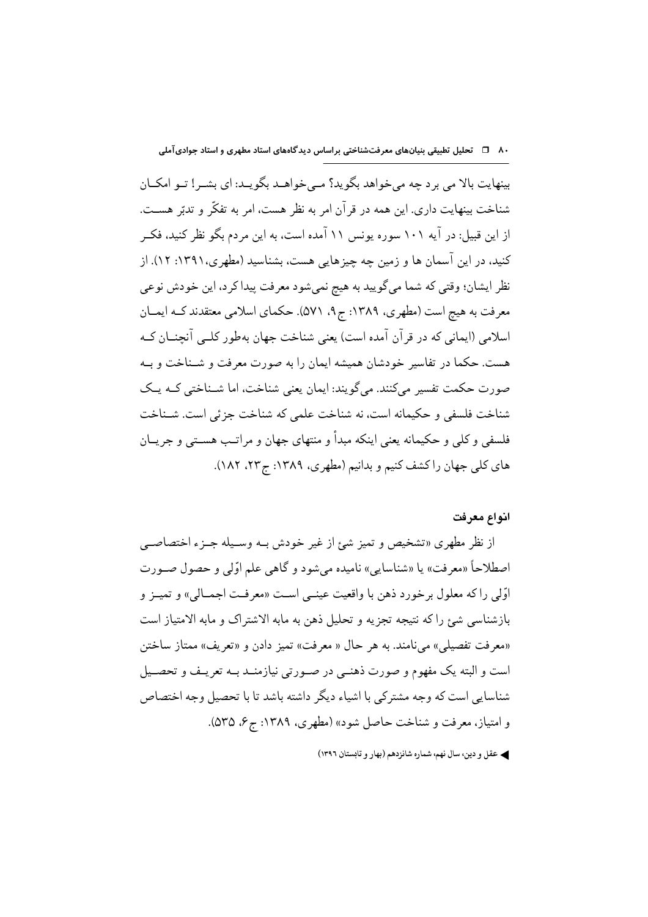بینھایت بالا می ہر د جه می خواهد بگو پد؟ مے خواهــد بگو پــد: ای بشــر! تــو امکــان شناخت بینهایت داری. این همه در قرآن امر به نظر هست، امر به تفکّر و تدبّر هســت. از این قبیل: در آیه ۱۰۱ سوره یونس ۱۱ آمده است، به این مردم بگو نظر کنید، فکـر کنید، در این آسمان ها و زمین چه چیزهایی هست، بشناسید (مطهری،١٣٩١: ١٢). از نظر ایشان؛ وقتی که شما میگویید به هیچ نمیشود معرفت پیدا کرد، این خودش نوعی معرفت به هیچ است (مطهری، ۱۳۸۹: ج ۹، ۵۷۱). حکمای اسلامی معتقدند کــه ایمــان اسلامی (ایمانی که در قرآن آمده است) یعنی شناخت جهان بهطور کلـبی آنچنــان کــه هست. حکما در تفاسیر خودشان همیشه ایمان را به صورت معرفت و شـناخت و بـه صورت حکمت تفسیر میکنند. می گویند: ایمان یعنی شناخت، اما شـناختی کـه یـک شناخت فلسفي و حکیمانه است، نه شناخت علمی که شناخت جزئی است. شـناخت فلسفي وكلي و حكيمانه يعني اينكه مبدأ و منتهاي جهان و مراتـب هســتي و جريــان های کلی جهان را کشف کنیم و بدانیم (مطهری، ۱۳۸۹: ج۲۲، ۱۸۲).

## انواع معرفت

از نظر مطهري «تشخيص و تميز شيئ از غير خودش بـه وسـيله جـزء اختصاصـي اصطلاحاً «معرفت» يا «شناسايي» ناميده مي شود و گاهي علم اوّلي و حصول صورت اوّلي را كه معلول بر خورد ذهن با واقعيت عينــي اسـت «معرفـت اجمــالي» و تميــز و بازشناسی شئ را که نتیجه تجزیه و تحلیل ذهن به مابه الاشتراک و مابه الامتیاز است «معرفت تفصیلی» مینامند. به هر حال « معرفت» تمیز دادن و «تعریف» ممتاز ساختن است و البته یک مفهوم و صورت ذهنـبي در صـورتبي نيازمنــد بــه تعريــف و تحصــيل شناسایی است که وجه مشترکی با اشیاء دیگر داشته باشد تا با تحصیل وجه اختصاص و امتیاز، معرفت و شناخت حاصل شود» (مطهری، ۱۳۸۹: ج۶، ۵۳۵).

۸۰٪ □ تحلیل تطبیقی بنیانهای معرفتشناختی براساس دیدگاههای استاد مطهری و استاد جوادی آملی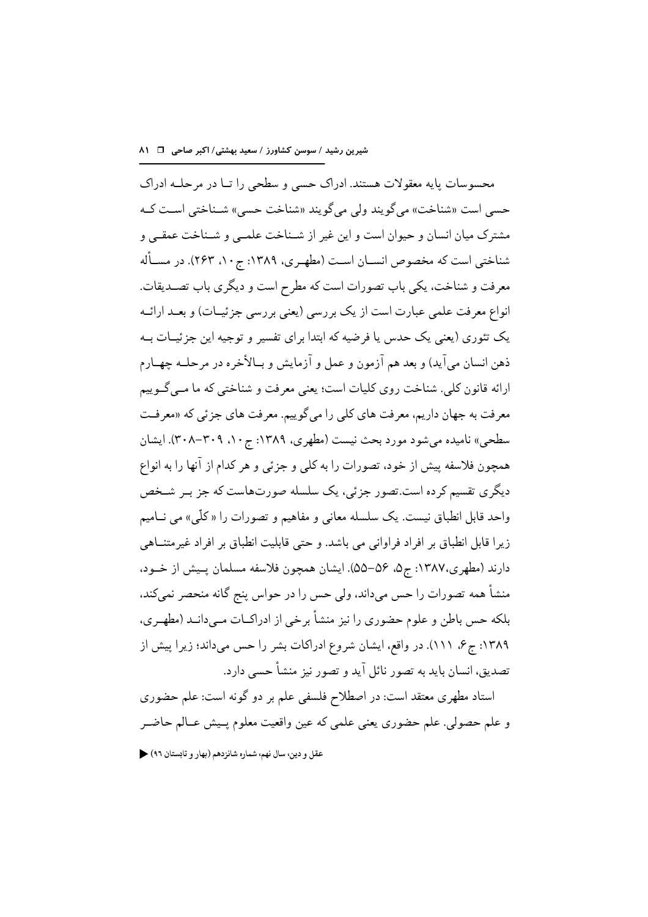محسوسات بایه معقولات هستند. ادراک حسبی و سطحی را تبا در مرحلبه ادراک حسي است «شناخت» مي گويند ولي مي گويند «شناخت حسي» شـناختي اسـت كـه مشترک میان انسان و حیوان است و این غیر از شـناخت علمـی و شـناخت عمقـی و شناختی است که مخصوص انسـان اسـت (مطهـري، ١٣٨٩: ج ١٠، ٢۶٣). در مسـأله معرفت و شناخت، یکی باب تصورات است که مطرح است و دیگری باب تصـدیقات. انواع معرفت علمي عبارت است از يک بررسي (يعني بررسي جزئيــات) و بعــد ارائــه یک تئوری (یعنی یک حدس یا فرضیه که ابتدا برای تفسیر و توجیه این جزئیــات بــه ذهن انسان مي آيد) و بعد هم آزمون و عمل و آزمايش و بـالأخره در مرحلـه چهــارم ارائه قانون كلي. شناخت روى كليات است؛ يعنى معرفت و شناختى كه ما مـي گــوييم معرفت به جهان داریم، معرفت های کلی را می گوییم. معرفت های جزئی که «معرفت سطحی» نامیده میشود مورد بحث نیست (مطهری، ۱۳۸۹: ج ۰۱، ۳۰۹–۳۰۸). ایشان همچون فلاسفه پیش از خود، تصورات را به کلی و جزئی و هر کدام از آنها را به انواع دیگری تقسیم کرده است.تصور جزئی، یک سلسله صورتهاست که جز بـر شـخص واحد قابل انطباق نيست. يک سلسله معاني و مفاهيم و تصورات را «کلّي» مي نــاميم زیرا قابل انطباق بر افراد فراوانی می باشد. و حتی قابلیت انطباق بر افراد غیرمتنــاهی دارند (مطهري،١٣٨٧: ج۵، ٥٤–۵۵). ايشان همچون فلاسفه مسلمان پـيش از خــود، منشأ همه تصورات را حس مىداند، ولى حس را در حواس ينج گانه منحصر نمىكند، بلکه حس باطن و علوم حضوري را نيز منشأ برخي از ادراكــات مــيدانــد (مطهــري، ١٣٨٩: ج۶، ١١١١). در واقع، ايشان شروع ادراكات بشر را حس مىداند؛ زيرا پيش از تصدیق، انسان باید به تصور نائل آید و تصور نیز منشأ حسی دارد.

استاد مطهری معتقد است: در اصطلاح فلسفی علم بر دو گونه است: علم حضوری و علم حصولي. علم حضوري يعني علمي كه عين واقعيت معلوم بسيش عــالم حاضـر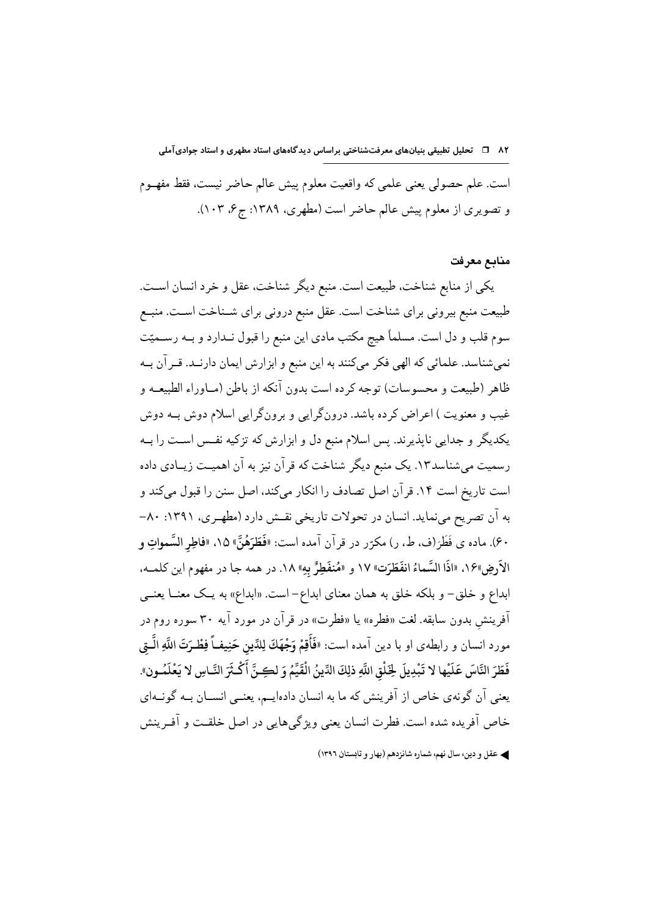۸۲٪ □ تحلیل تطبیقی بنیانهای معرفتشناختی براساس دیدگاههای استاد مطهری و استاد جوادی آملی است. علم حصولي يعني علمي كه واقعيت معلوم پيش عالم حاضر نيست، فقط مفهــوم و تصویری از معلوم پیش عالم حاضر است (مطهری، ۱۳۸۹: ج۶، ۱۰۳).

#### منابع معرفت

يكي از منابع شناخت، طبيعت است. منبع ديگر شناخت، عقل و خرد انسان است. طبیعت منبع بیرونی برای شناخت است. عقل منبع درونی برای شــناخت اســت. منبــع سوم قلب و دل است. مسلماً هيچ مكتب مادي اين منبع را قبول نـدارد و بــه رســميّت نمي شناسد. علمائي كه الهي فكر ميكنند به اين منبع و ابزارش ايمان دارنـد. قـرآن بــه ظاهر (طبيعت و محسوسات) توجه كرده است بدون آنكه از باطن (مـاوراء الطبيعــه و غیب و معنویت ) اعراض کر ده باشد. درونگرایی و برونگرایی اسلام دوش بـه دوش یکدیگر و جدایی ناپذیرند. پس اسلام منبع دل و ابزارش که تزکیه نفس اسـت را بــه رسمیت میشناسد۱۳. یک منبع دیگر شناخت که قرآن نیز به آن اهمیـت زیــادی داده است تاریخ است ۱۴. قرآن اصل تصادف را انکار میکند، اصل سنن را قبول میکند و به آن تصریح می نماید. انسان در تحولات تاریخی نقـش دارد (مطهـری، ۱۳۹۱: ۸۰– ۶۰). ماده ي فَطَرَ(ف، ط، ر) مكرِّر در قر آن آمده است: «فَطَرَهُنَّ» ۱۵، «فاطِر السَّمواتِ و الأرضِ»١۶، «إذًا السَّماءُ انفَطَرَت» ١٧ و «مُنفَطِرٌ بِهِ» ١٨. در همه جا در مفهوم اين كلمـه، ابداع و خلق- و بلکه خلق به همان معنای ابداع– است. «ابداع» به یـک معنــا یعنــی آفرینش بدون سابقه. لغت «فطره» یا «فطرت» در قرآن در مورد آیه ۳۰ سوره روم در مورد انسان و رابطهى او با دين آمده است: «فَأَقِمْ وَجْهَكَ لِلدِّين حَنِيفاً فِطْـرَتَ اللَّهِ الَّــتي فَطَرَ النَّاسَ عَلَيْها لا تَبْدِيلَ لِخَلْقِ اللَّهِ ذلِكَ الدِّينُ الْقَيِّمُ وَ لكِنَّ أَكْثَرَ النَّاسِ لا يَعْلَمُون». یعنی آن گونهی خاص از آفرینش که ما به انسان دادهایـم، یعنـی انســان بــه گونــهای خاص آفريده شده است. فطرت انسان يعني ويژگي هايي در اصل خلقـت و آفـرينش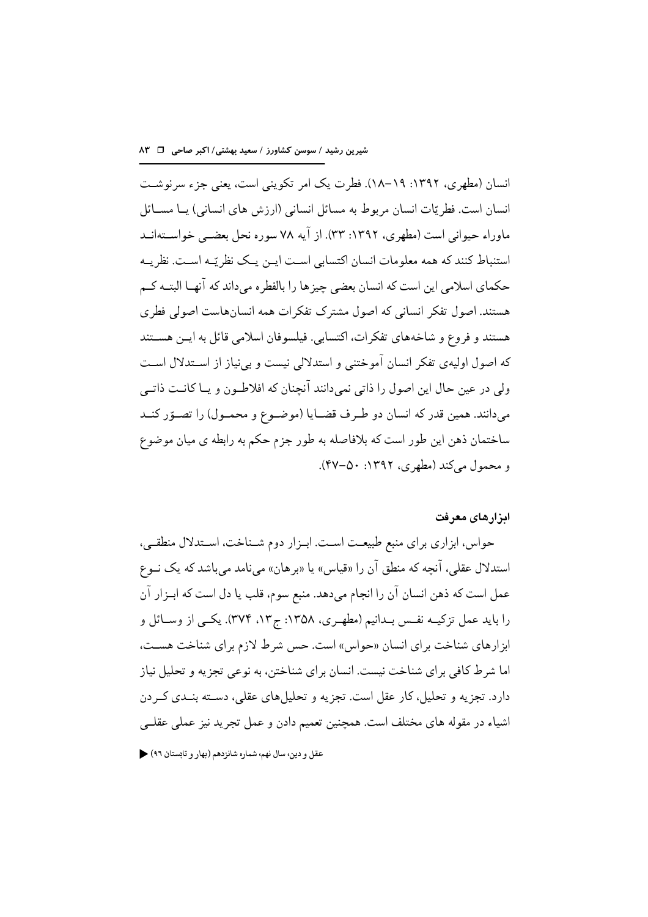انسان (مطهری، ۱۳۹۲: ۱۸–۱۸). فطرت یک امر تکوینی است، یعنی جزء سرنوشت انسان است. فطريّات انسان مربوط به مسائل انساني (ارزش هاي انساني) يــا مســائل ماوراء حيواني است (مطهري، ١٣٩٢: ٣٣). از آيه ٧٨ سوره نحل بعضبي خواســتهانــد استنباط کنند که همه معلومات انسان اکتسابی است ایـن یـک نظر یّـه اسـت. نظر یـه حکمای اسلامی این است که انسان بعضی چیز ها را بالفطر ه می داند که آنهــا البتــه کــم هستند. اصول تفكر انساني كه اصول مشترك تفكرات همه انسانهاست اصولي فطري هستند و فروع و شاخههاي تفكرات، اكتسابي. فيلسوفان اسلامي قائل به ايـن هسـتند که اصول اولیهی تفکر انسان آموختنی و استدلالی نیست و پی نیاز از اســتدلال اسـت ولي در عين حال اين اصول را ذاتي نمي دانند آنچنان كه افلاطـون و يــا كانــت ذاتــي میدانند. همین قدر که انسان دو طرف قضـایا (موضـوع و محمـول) را تصـوّر کنــد ساختمان ذهن این طور است که بلافاصله به طور جزم حکم به رابطه ی میان موضوع و محمول مے کند (مطهری، ۱۳۹۲: ۵۰–۴۷).

### ابزارهای معرفت

حواس، ابزاري براي منبع طبيعـت اسـت. ابـزار دوم شـناخت، اسـتدلال منطقـي، استدلال عقلي، آنچه که منطق آن را «قياس» يا «برهان» مي نامد مي باشد که يک نــوع عمل است كه ذهن انسان آن را انجام مىدهد. منبع سوم، قلب يا دل است كه ابــزار آن را باید عمل تزکیــه نفـس بــدانیم (مطهـري، ۱۳۵۸: ج۱۳، ۳۷۴). یکــی از وســائل و ابزارهای شناخت برای انسان «حواس» است. حس شرط لازم برای شناخت هست، اما شرط كافي براي شناخت نيست. انسان براي شناختن، به نوعي تجزيه و تحليل نياز دارد. تجزیه و تحلیل، کار عقل است. تجزیه و تحلیلهای عقلی، دسـته بنــدی کــردن اشياء در مقوله هاي مختلف است. همچنين تعميم دادن و عمل تجريد نيز عملي عقلــي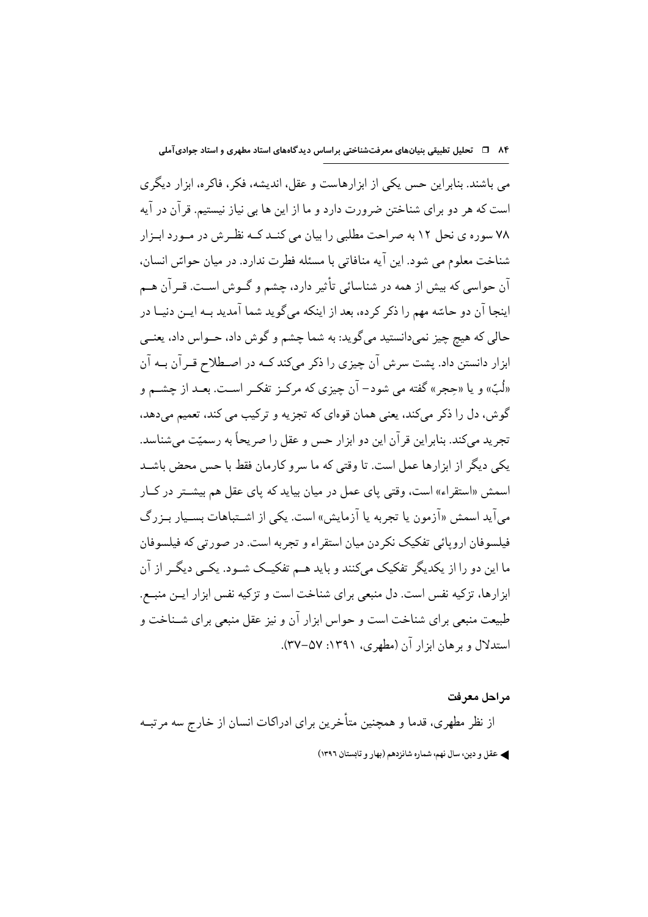مر باشند. بنار این حس یکی از ایزارهاست و عقل اندیشه، فکر، فاکره، ایزار دیگری است که هر دو برای شناختن ضرورت دارد و ما از این ها بی نیاز نیستیم. قرآن در آیه ۷۸ سوره ی نحل ۱۲ به صراحت مطلبی را بیان می کنـد کـه نظـر ش در مـورد ابـزار شناخت معلوم می شود. این آیه منافاتی با مسئله فطرت ندارد. در میان حواسّ انسان، آن حواسی که بیش از همه در شناسائی تأثیر دارد، چشم و گــوش اسـت. قــر آن هــم اپنجا آن دو حاسّه مهم را ذکر کر ده، بعد از اینکه می گوید شما آمدید بـه ایـن دنیــا در حالي كه هيج چيز نميدانستيد مي گويد: به شما چشم و گوش داد، حــواس داد، يعنــي ابزار دانستن داد. پشت سرش آن چیزی را ذکر میکند کــه در اصــطلاح قــر آن بــه آن «لُبّ» و یا «حِجر» گفته می شود– آن چیزی که مرکـز تفکـر اسـت. بعــد از چشــم و گوش، دل را ذکر می کند، یعنی همان قوهای که تجزیه و ترکیب می کند، تعمیم می دهد، تجريد مے كند. بناہر اين قر آن اين دو ابزار حس و عقل را صر يحاً به رسميّت مے شناسد. یکی دیگر از ابزارها عمل است. تا وقتی که ما سرو کارمان فقط با حس محض باشـد اسمش «استقراء» است، وقتى ياى عمل در ميان بيايد كه ياى عقل هم بيشــتر در كــار می آید اسمش «آزمون یا تجربه یا آزمایش» است. یکی از اشــتباهات بســیار بــزرگ فیلسوفان اروپائی تفکیک نکردن میان استقراء و تجربه است. در صورتی که فیلسوفان ما این دو را از یکدیگر تفکیک میکنند و باید هـم تفکیـک شـود. یکـی دیگـر از آن ابزارها، تزکیه نفس است. دل منبعی برای شناخت است و تزکیه نفس ابزار ایــن منبــع. طبیعت منبعی برای شناخت است و حواس ابزار آن و نیز عقل منبعی برای شــناخت و استدلال و بر هان ابزار آن (مطهری، ۱۳۹۱: ۳۷–۳۷).

مر احل معر فت از نظر مطهری، قدما و همچنین متأخرین برای ادراکات انسان از خارج سه مرتبــه ﴾ عقل و دين، سال نهم، شماره شانزدهم (بهار و تابستان ١٣٩٦)

۸۴٪ □ تحلیل تطبیقی بنیانهای معرفتشناختی براساس دیدگاههای استاد مطهری و استاد جوادی آملی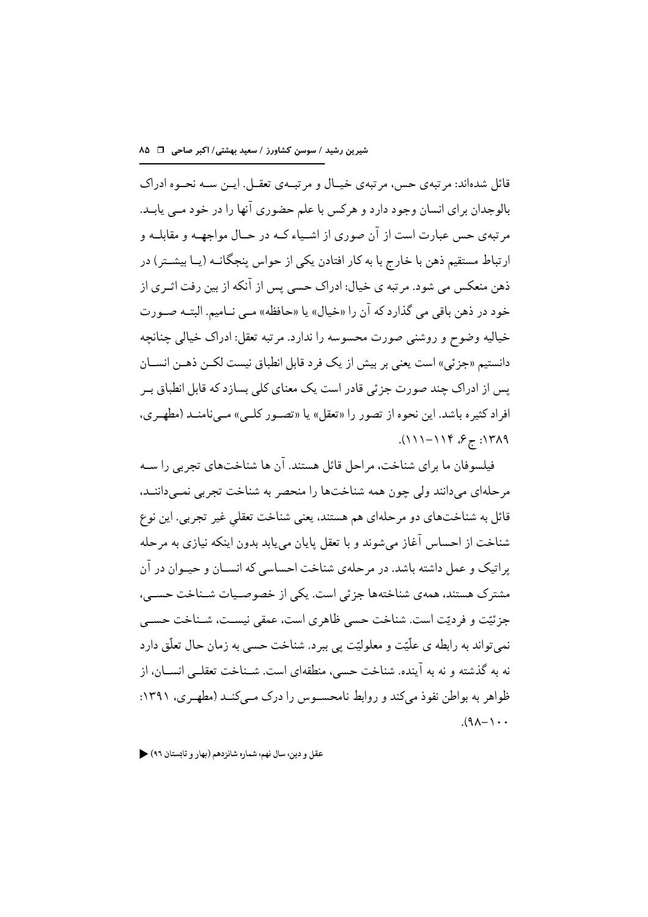قائل شدهاند: مر تبهي حس، مر تبهي خيــال و مر تبــهي تعقــل. ايــن ســه نحــوه ادراك بالوجدان برای انسان وجود دارد و هرکس با علم حضوری آنها را در خود مبی پابـد. مر تبهي حس عبارت است از آن صوري از اشـياء كــه در حــال مواجهــه و مقابلــه و ارتباط مستقیم ذهن با خارج با به کار افتادن یکی از حواس پنجگانــه (یــا بیشــتر) در ذهن منعکس می شود. مر تبه ی خیال: ادراک حسی پس از آنکه از بین رفت اثــری از خود در ذهن باقی می گذارد که آن را «خیال» یا «حافظه» مبی نـامیم. البتــه صــورت خياليه وضوح و روشني صورت محسوسه را ندارد. مر تبه تعقل: ادراك خيالي چنانچه دانستیم «جزئی» است یعنی بر بیش از یک فرد قابل انطباق نیست لکـن ذهـن انســان یس از ادراک چند صورت جزئی قادر است یک معنای کلی بسازد که قابل انطباق بـر افراد کثیر ، باشد. این نحوه از تصور را «تعقل» یا «تصـور کلـبي» مـبي نامنــد (مطهـري،  $. (111 - 119.5)$ 

فیلسوفان ما بر ای شناخت، مراحل قائل هستند. آن ها شناختهای تجربی را سـه مرحلهاي مي دانند ولي چون همه شناختها را منحصر به شناخت تجربي نمـي داننـد، قائل به شناختهاي دو مرحلهاي هم هستند، يعني شناخت تعقلي غير تجربي. اين نوع شناخت از احساس آغاز می شوند و با تعقل پایان می پابد بدون اینکه نیازی به مرحله براتیک و عمل داشته باشد. در مرحلهی شناخت احساسی که انســان و حیــوان در آن مشترک هستند، همهی شناختهها جزئی است. یکی از خصوصیات شـناخت حسـی، جزئيّت و فرديّت است. شناخت حسى ظاهري است، عمقى نيسـت، شـناخت حسـي نمي تواند به رابطه ي علَّيّت و معلوليّت يي ببرد. شناخت حسى به زمان حال تعلُّق دارد نه به گذشته و نه به آینده. شناخت حسی، منطقهای است. شــناخت تعقلــی انســان، از ظواهر به بواطن نفوذ مے کند و روابط نامحسـوس را درک مـے کنـد (مطهـری، ۱۳۹۱:  $(9\lambda - 1)$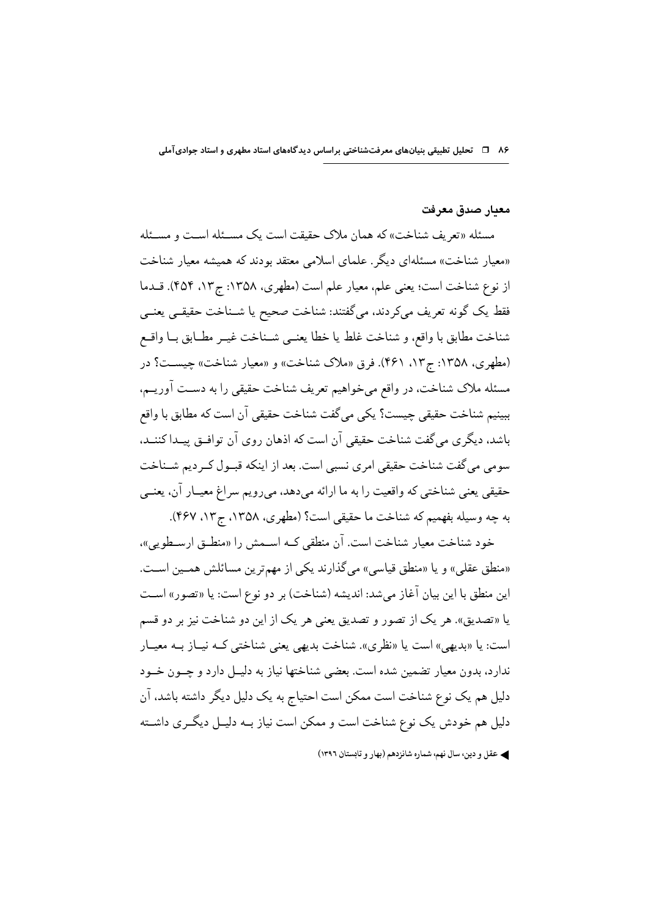۸۶ تحلیل تطبیقی بنیانهای معرفتشناختی براساس دیدگاههای استاد مطهری و استاد جوادی آملی

معيار صدق معرفت

مسئله «تعریف شناخت» که همان ملاک حقیقت است یک مسـئله اسـت و مسـئله «معیار شناخت» مسئلهای دیگر ـ علمای اسلامی معتقد بودند که همیشه معیار شناخت از نوع شناخت است؛ يعني علم، معيار علم است (مطهري، ١٣٥٨: ج١٣، ٤٥۴). قـدما فقط يک گونه تعريف مىکردند، مىگفتند: شناخت صحيح يا شـناخت حقيقــى يعنــى شناخت مطابق با واقع، و شناخت غلط يا خطا يعنــي شــناخت غيــر مطــابق بــا واقــع (مطهري، ۱۳۵۸: ج۱۲، ۴۶۱). فرق «ملاک شناخت» و «معیار شناخت» چیسـت؟ در مسئله ملاک شناخت، در واقع می خواهیم تعریف شناخت حقیقی را به دسـت آوریـم، ببينيم شناخت حقيقي چيست؟ يكي مي گفت شناخت حقيقي آن است كه مطابق با واقع باشد، دیگر ی مے گفت شناخت حقیقے آن است که اذهان روی آن توافــق بیــدا کننــد، سومي مي گفت شناخت حقيقي امري نسبي است. بعد از اينكه قبــول كــرديم شــناخت حقیقی یعنی شناختی که واقعیت را به ما ارائه میدهد، میرویم سراغ معیــار آن، یعنــی به چه وسیله بفهمیم که شناخت ما حقیقی است؟ (مطهری، ۱۳۵۸، ج۱۳، ۱۴۶۷).

خود شناخت معیار شناخت است. آن منطقی کـه اسـمش را «منطـق ارسـطویی»، «منطق عقلي» و يا «منطق قياسي» مي گذارند يكي از مهمترين مسائلش همـين اسـت. اين منطق با اين بيان آغاز مي شد: انديشه (شناخت) بر دو نوع است: يا «تصور» اسـت یا «تصدیق». هر یک از تصور و تصدیق یعنی هر یک از این دو شناخت نیز بر دو قسم است: يا «بديهي» است يا «نظري». شناخت بديهي يعني شناختي كـه نيــاز بــه معيــار ندارد، بدون معیار تضمین شده است. بعضی شناختها نیاز به دلیــل دارد و چــون خــود دلیل هم یک نوع شناخت است ممکن است احتیاج به یک دلیل دیگر داشته باشد، آن دلیل هم خودش یک نوع شناخت است و ممکن است نیاز بــه دلیــل دیگــری داشــته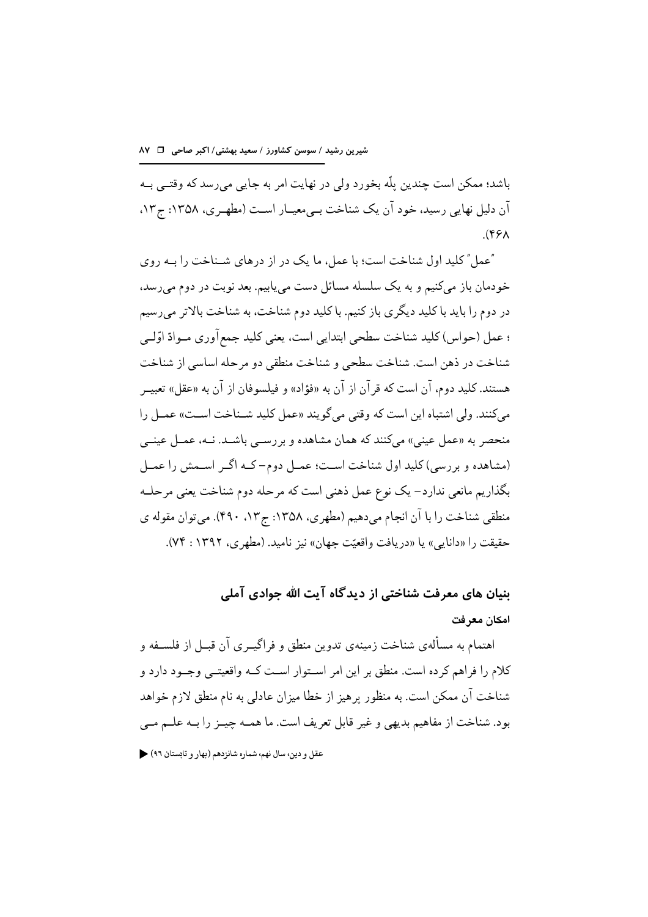باشد؛ ممکن است چندین بلّه بخورد ولی در نهایت امر به جایی می رسد که وقتبی بـه آن دلیل نهایی رسید، خود آن یک شناخت بے معیــار اســت (مطهــری، ۱۳۵۸: ج۱۳،  $(99)$ 

"عمل" كليد اول شناخت است؛ با عمل، ما يک در از درهاي شــناخت را بــه روي خودمان باز میکنیم و به یک سلسله مسائل دست می پابیم. بعد نوبت در دوم می رسد، در دوم را باید با کلید دیگری باز کنیم. با کلید دوم شناخت، به شناخت بالاتر می رسیم ؛ عمل (حواس) كليد شناخت سطحي ابتدايي است، يعني كليد جمع آوري مـوادّ اوّلـي شناخت در ذهن است. شناخت سطحی و شناخت منطقی دو مرحله اساسی از شناخت هستند. کلید دوم، آن است که قر آن از آن به «فؤاد» و فیلسوفان از آن به «عقل» تعبیــر می کنند. ولی اشتباه این است که وقتی می گویند «عمل کلید شـناخت اسـت» عمـل را منحصر به «عمل عینی» میکنند که همان مشاهده و بر رسبی باشید. نیه، عمیل عینی (مشاهده و بررسی) کلید اول شناخت است؛ عمـل دوم-کـه اگـر اسـمش را عمـل بگذاریم مانعی ندارد– یک نوع عمل ذهنی است که مرحله دوم شناخت یعنی مرحلــه منطقی شناخت را با آن انجام می دهیم (مطهر ی، ۱۳۵۸: ج۱۳، ۴۹۰). می توان مقوله ی حقيقت را «دانايي» يا «دريافت واقعيّت جهان» نيز ناميد. (مطهري، ١٣٩٢ : ٧۴).

# بنیان های معرفت شناختی از دیدگاه آیت الله جوادی آملی امكان معر فت

اهتمام به مسألهى شناخت زمينهى تدوين منطق و فراگيــرى آن قبــل از فلســفه و كلام را فراهم كرده است. منطق بر اين امر اسـتوار اسـت كــه واقعيتــي وجــود دارد و شناخت آن ممکن است. به منظور بر هیز از خطا میزان عادلی به نام منطق لازم خواهد بود. شناخت از مفاهيم بديهي و غير قابل تعريف است. ما همـه چيــز را بــه علــم مــي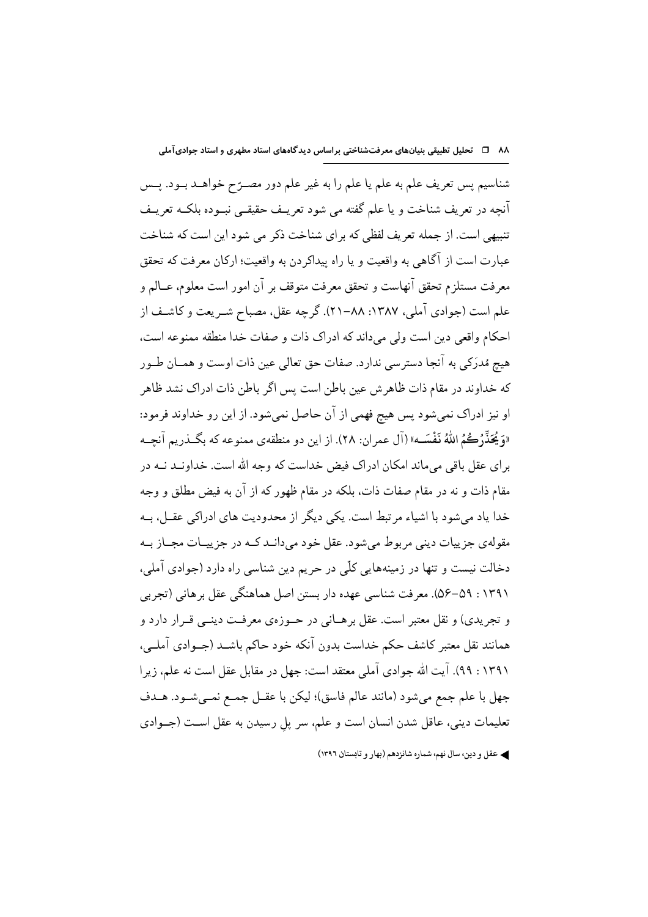شناسيم پس تعريف علم به علم يا علم را به غير علم دور مصـرّ ح خواهـد بــود. پــس أنجه در تعريف شناخت و يا علم گفته مي شود تعريـف حقيقــي نبــوده بلكــه تعريــف تنبیهی است. از جمله تعریف لفظی که برای شناخت ذکر می شود این است که شناخت عبارت است از آگاهي به واقعيت و يا راه پيداكر دن به واقعيت؛ اركان معرفت كه تحقق معرفت مستلزم تحقق آنهاست و تحقق معرفت متوقف بر آن امور است معلوم، عــالم و علم است (جوادي آملي، ١٣٨٧: ٨٨–٢١). گرچه عقل، مصباح شـريعت و كاشـف از احکام واقعی دین است ولی میداند که ادراک ذات و صفات خدا منطقه ممنوعه است. هيج مُدرَكي به آنجا دسترسي ندارد. صفات حق تعالى عين ذات اوست و همــان طــور که خداوند در مقام ذات ظاهر ش عین باطن است پس اگر باطن ذات ادراک نشد ظاهر او نیز ادراک نمیشود پس هیچ فهمی از آن حاصل نمیشود. از این رو خداوند فرمود: «وَ يُحَذِّدُ ڪُمُ اللّٰهُ نَفْسَـه» (آل عمر ان: ٢٨). از اين دو منطقه ي ممنو عه که بِگـذريم آنحـه برای عقل باقی می ماند امکان ادراک فیض خداست که وجه الله است. خداونــد نــه در مقام ذات و نه در مقام صفات ذات، بلکه در مقام ظهور که از آن به فیض مطلق و وجه خدا ياد مي شود با اشياء مر تبط است. يكي ديگر از محدوديت هاي ادراكي عقــل، بــه مقولهي جزييات ديني مربوط مي شود. عقل خود مي دانــد كــه در جزييــات مجــاز بــه دخالت نیست و تنها در زمینههایی کلّی در حریم دین شناسی راه دارد (جوادی آملی، ۱۳۹۱ : ۵۹–۵۶). معرفت شناسی عهده دار بستن اصل هماهنگی عقل برهانی (تجربی و تجریدی) و نقل معتبر است. عقل برهـانی در حــوزهی معرفـت دینــی قــرار دارد و همانند نقل معتبر كاشف حكم خداست بدون آنكه خود حاكم باشــد (جــوادي آملــي، ۱۳۹۱ : ۹۹). آیت الله جوادی آملی معتقد است: جهل در مقابل عقل است نه علم، زیرا جهل با علم جمع مي شود (مانند عالم فاسق)؛ ليكن با عقــل جمـع نمــي شــود. هــدف تعليمات ديني، عاقل شدن انسان است و علم، سر يل رسيدن به عقل اسـت (جــوادي

۸۸٪ □ تحلیل تطبیقی بنیانهای معرفتشناختی براساس دیدگاههای استاد مطهری و استاد جوادی آملی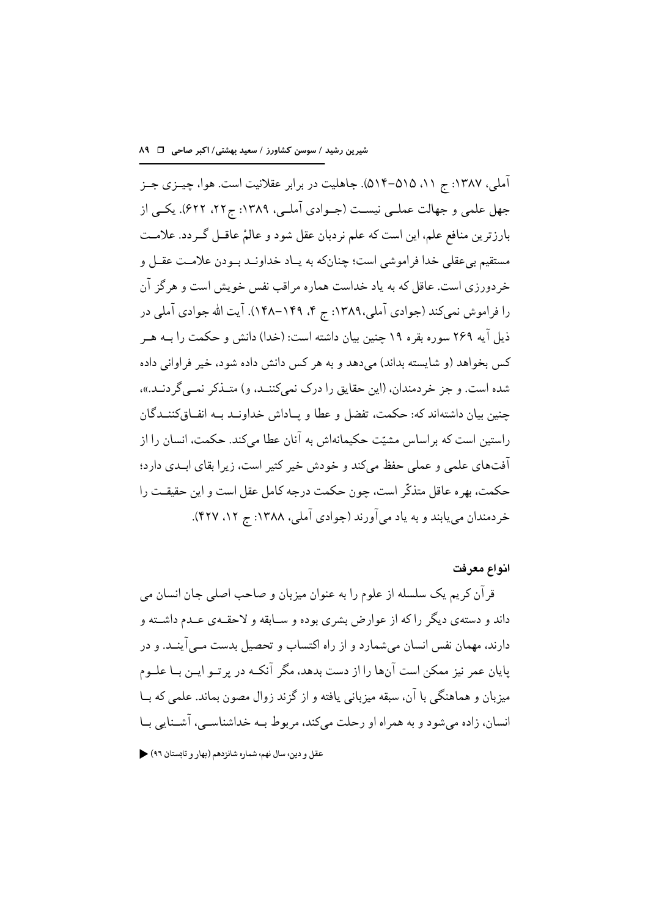آملي، ١٣٨٧: ج ٥١١، ٥١٥-٥١۴). جاهليت در برابر عقلانيت است. هوا، چيــزي جــز جهل علمي و جهالت عملـي نيسـت (جــوادي آملــي، ١٣٨٩: ج٢٢، ٤٢٢). يكــي از بارزترين منافع علم، اين است كه علم نردبان عقل شود و عالمْ عاقــل گــردد. علامــت مستقيم بي عقلي خدا فراموشي است؛ چنانكه به يـاد خداونــد بــودن علامــت عقــل و خر دورزی است. عاقل که به یاد خداست هماره مراقب نفس خویش است و هر گز آن را فراموش نمیکند (جوادی آملی،۱۳۸۹: ج ۴، ۱۴۹–۱۴۸). آیت الله جوادی آملی در ذیل آیه ۲۶۹ سوره بقره ۱۹ چنین بیان داشته است: (خدا) دانش و حکمت را بــه هــر کس بخواهد (و شایسته بداند) می دهد و به هر کس دانش داده شود، خیر فراوانی داده شده است. و جز خر دمندان، (این حقایق را درک نمی کننــد، و) متــذکر نمــی گر دنــد.»، چنین بیان داشتهاند که: حکمت، تفضل و عطا و پـاداش خداونــد بــه انفــاق&ننــدگان راستین است که براساس مشیّت حکیمانهاش به آنان عطا میکند. حکمت، انسان را از آفتهای علمی و عملی حفظ میکند و خودش خیر کثیر است، زیرا بقای ابـدی دارد؛ حكمت، بهره عاقل متذكَّر است، چون حكمت درجه كامل عقل است و اين حقيقــت را خر دمندان مي پابند و به ياد مي آورند (جوادي آملي، ١٣٨٨: ج ١٢، ۴٢٧).

### انواع معرفت

قر آن کر یم یک سلسله از علوم را به عنوان میزبان و صاحب اصلی جان انسان می داند و دستهی دیگر را که از عوارض بشری بوده و ســابقه و لاحقــهی عــدم داشــته و دارند، مهمان نفس انسان می شمارد و از راه اکتساب و تحصیل بدست مــی آینــد. و در پایان عمر نیز ممکن است آنها را از دست بدهد، مگر آنکـه در پر تـو ایـن بــا علــوم میزبان و هماهنگی با آن، سبقه میزبانی یافته و از گزند زوال مصون بماند. علمی که بــا انسان، زاده مے شود و به همراه او رحلت مے کند، مربوط بـه خداشناسـے، آشـنایے بـا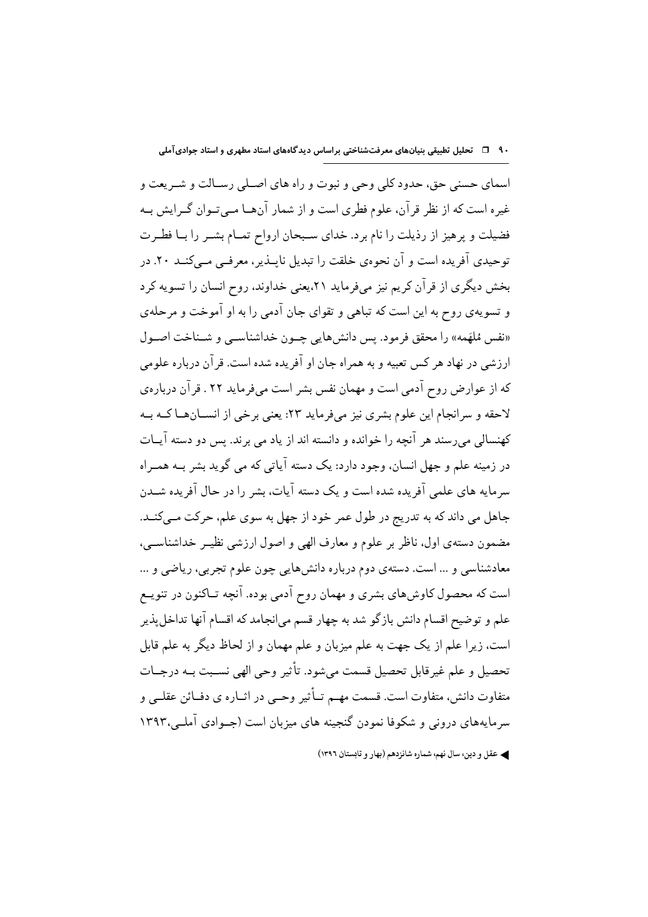اسمای حسنی حق، حدود کلی وجی و نبوت و راه های اصـلی رسـالت و شـریعت و غیره است که از نظر قرآن، علوم فطری است و از شمار آنهــا مــیتــوان گــرایش بــه فضیلت و پرهیز از رذیلت را نام برد. خدای سـبحان ارواح تمــام بشــر را بــا فطـرت توحیدی آفریده است و آن نحوهی خلقت را تبدیل ناپــذیر ، معرفــی مــیکنــد ۲۰. در بخش دیگری از قرآن کریم نیز میفرماید ۲۱،یعنی خداوند، روح انسان را تسویه کرد و تسویهی روح به این است که تباهی و تقوای جان آدمی را به او آموخت و مرحلهی «نفس مُلهَمه» را محقق فرمود. پس دانشهایی چـون خداشناسـبی و شـناخت اصـول ارزشي در نهاد هر کس تعبيه و به همراه جان او آفريده شده است. قر آن درباره علومي که از عوارض روح آدمی است و مهمان نفس بشر است می فرماید ۲۲ . قر آن دربارهی لاحقه و سرانجام این علوم بشری نیز می فرماید ۲۳: یعنی برخی از انســان۱ـا کــه بــه کهنسالی می رسند هر آنجه را خوانده و دانسته اند از یاد می برند. سن دو دسته آییات در زمینه علم و جهل انسان، وجود دارد: یک دسته آیاتی که می گوید بشر بـه همـراه سرمایه های علمی آفریده شده است و یک دسته آیات، بشر را در حال آفریده شــدن جاهل مي داند كه به تدريج در طول عمر خود از جهل به سوى علم، حركت مــي كنــد. مضمون دستهي اول، ناظر بر علوم و معارف الهي و اصول ارزشي نظيـر خداشناسـي، معادشناسي و … است. دستهي دوم درباره دانشهايي چون علوم تجربي، رياضي و … است که محصول کاوشهای بشری و مهمان روح آدمی بوده. آنچه تـاکنون در تنویــع علم و توضيح اقسام دانش بازگو شد به چهار قسم مىانجامد كه اقسام آنها تداخل پذير است، زیرا علم از یک جهت به علم میزبان و علم مهمان و از لحاظ دیگر به علم قابل تحصيل و علم غيرقابل تحصيل قسمت ميشود. تأثير وحي الهي نسـبت بــه درجــات متفاوت دانش، متفاوت است. قسمت مهــم تــأثير وحــي در اثــاره ي دفــائن عقلــي و سرمایههای درونی و شکوفا نمودن گنجینه های میزبان است (جــوادی آملــی،۱۳۹۳

۹۰٪ □ تحلیل تطبیقی بنیانهای معرفتشناختی براساس دیدگاههای استاد مطهری و استاد جوادیآملی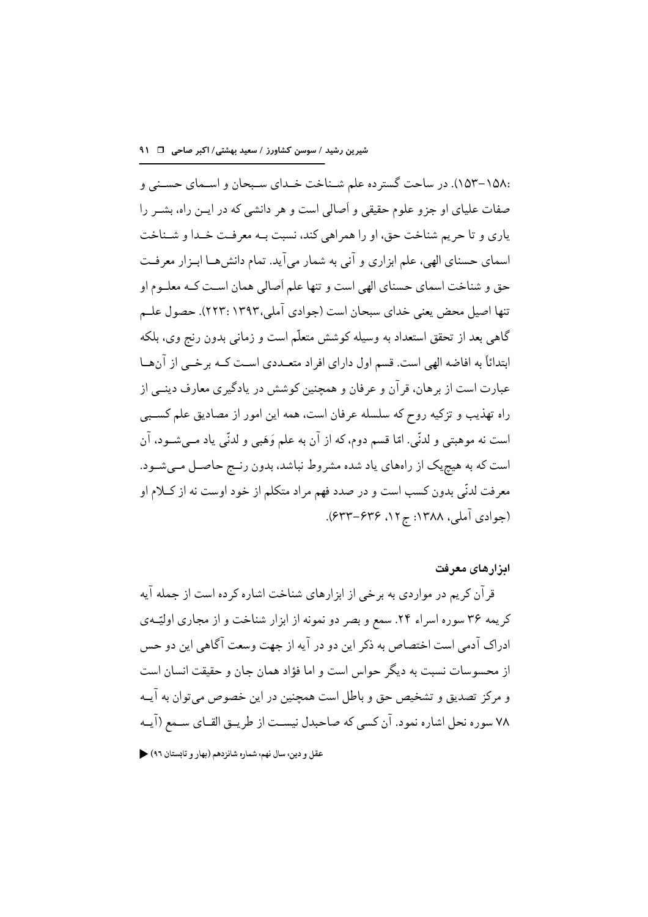:۱۵۸-۱۵۲). در ساحت گستر ده علم شـناخت خـدای سـبحان و اسـمای حسـنی و صفات علیای او جزو علوم حقیقی و اَصالی است و هر دانشی که در ایـن راه، بشـر را ياري و تا حريم شناخت حق، او را همراهي كند، نسبت بـه معرفـت خـدا و شـناخت اسمای حسنای الهی، علم ابزاری و آنی به شمار میآید. تمام دانش هـا ابـزار معرفـت حق و شناخت اسماي حسناي الهي است و تنها علم أصالي همان اسـت كـه معلـوم او تنها اصيل محض يعني خداي سبحان است (جوادي آملي،١٣٩٣: ٢٢٣). حصول علـم گاهی بعد از تحقق استعداد به وسیله کوشش متعلّم است و زمانی بدون رنج وی، بلکه ابتدائاً به افاضه الهی است. قسم اول دارای افر اد متعــددی اســت کــه بر خــی از آن۱مــا عبارت است از بر هان، قر آن و عرفان و همچنین کوشش در یادگیری معارف دینــی از راه تهذيب و تزكيه روح كه سلسله عرفان است. همه اين امور از مصاديق علم كسـبي است نه موهبتي و لدنّي. امّا قسم دوم، كه از آن به علم وَهَبي و لدنّي ياد مــيشــود، آن است که به هیچیک از راههای یاد شده مشروط نباشد، بدون رنـج حاصـل مـی شـود. معرفت لدنّي بدون كسب است و در صدد فهم مراد متكلم از خود اوست نه از كــلام او (جوادي آملي، ١٣٨٨: ج١٢، ۶۳۶–۶۳۳).

### ایزار های معرفت

قر آن کر یم در مواردی به برخی از ابزارهای شناخت اشاره کرده است از جمله آیه کریمه ۳۶ سوره اسراء ۲۴. سمع و بصر دو نمونه از ابزار شناخت و از مجاری اولیّــهی ادراک آدمی است اختصاص به ذکر این دو در آیه از جهت وسعت آگاهی این دو حس از محسوسات نسبت به دیگر حواس است و اما فؤاد همان جان و حقیقت انسان است و مرکز تصدیق و تشخیص حق و باطل است همحنین در این خصوص می توان به آیــه ٧٨ سوره نحل اشاره نمود. آن كسى كه صاحبدل نيست از طريــق القــاي ســمع (آيــه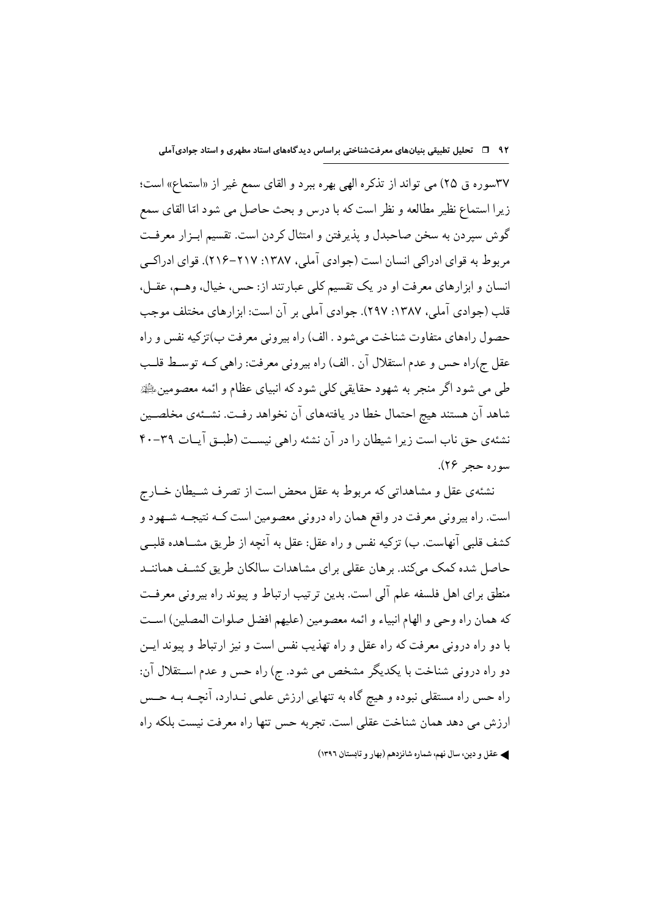۳۷سوره ق ۲۵) می تواند از تذکره الهی بهره ببرد و القای سمع غیر از «استماع» است؛ زيرا استماع نظير مطالعه و نظر است كه با درس و بحث حاصل مي شود امّا القاي سمع گوش سیردن به سخن صاحبدل و پذیرفتن و امتثال کردن است. تقسیم ابـزار معرفـت مربوط به قواي ادراكي انسان است (جوادي آملي، ۱۳۸۷: ۲۱۷–۲۱۶). قواي ادراكـي انسان و ابزارهای معرفت او در یک تقسیم کلی عبارتند از: حس، خیال، وهـم، عقـل، قلب (جوادي آملي، ١٣٨٧: ٢٩٧). جوادي آملي بر آن است: ابزارهاي مختلف موجب حصول راههاي متفاوت شناخت مي شود . الف) راه بيروني معرفت ب)تزكيه نفس و راه عقل ج)راه حس و عدم استقلال آن . الف) راه بيروني معرفت: راهي كــه توسـط قلــب طي مي شود اگر منجر به شهود حقايقي كلي شود كه انبياي عظام و ائمه معصومين، ﷺ شاهد آن هستند هیج احتمال خطا در یافتههای آن نخواهد رفت. نشـئهی مخلصـین نشئهی حق ناب است زیرا شیطان را در آن نشئه راهی نیست (طبــق آیــات ۳۹-۴۰ سوره حجر ۲۶).

نشئهي عقل و مشاهداتي كه مربوط به عقل محض است از تصرف شـيطان خــارج است. راه بیرونی معرفت در واقع همان راه درونی معصومین است کـه نتیجـه شـهود و كشف قلبي آنهاست. ب) تزكيه نفس و راه عقل: عقل به آنچه از طريق مشــاهده قلبــي حاصل شده کمک میکند. برهان عقلی برای مشاهدات سالکان طریق کشـف هماننــد منطق برای اهل فلسفه علم آلی است. بدین تر تیب ارتباط و پیوند راه بیرونی معرفت كه همان راه وحي و الهام انبياء و ائمه معصومين (عليهم افضل صلوات المصلين) است با دو راه درونی معرفت که راه عقل و راه تهذیب نفس است و نیز ارتباط و پیوند ایــن دو راه درونی شناخت با یکدیگر مشخص می شود. ج) راه حس و عدم اســتقلال آن: راه حس راه مستقلي نبوده و هيچ گاه به تنهايي ارزش علمي نـدارد، آنچــه بــه حــس ارزش می دهد همان شناخت عقلی است. تجربه حس تنها راه معرفت نیست بلکه راه

۹۲٪ □ تحلیل تطبیقی بنیانهای معرفتشناختی براساس دیدگاههای استاد مطهری و استاد جوادی آملی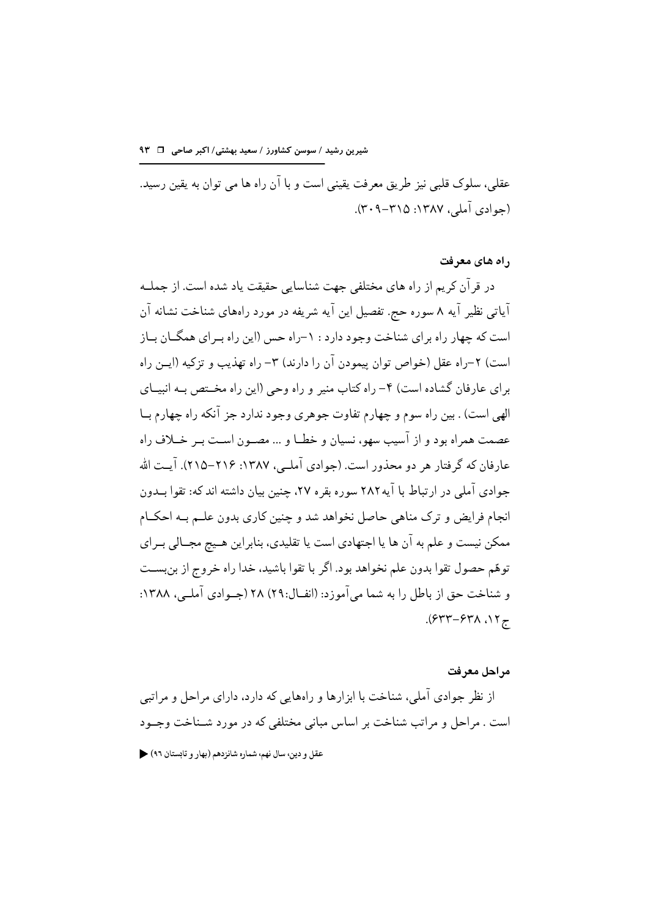عقلي، سلوک قلبي نيز طريق معرفت يقيني است و با آن راه ها مي توان به يقين رسيد. (جوادي آملي، ١٣٨٧: ٣٠٥-٣٠٩).

راه های معرفت

در قر آن کر یم از راه های مختلفی جهت شناسایی حقیقت یاد شده است. از جملــه آیاتی نظیر آیه ۸ سوره حج. تفصیل این آیه شریفه در مورد راههای شناخت نشانه آن است که چهار راه بر ای شناخت وجود دارد : ١-راه حس (این راه بـرای همگــان بــاز است) ۲-راه عقل (خواص توان پیمودن آن را دارند) ۳- راه تهذیب و تزکیه (ایــن راه برای عارفان گشاده است) ۴- راه کتاب منیر و راه وحی (این راه مخـتص بـه انبیــای الهي است) . ٻين راه سوم و چهارم تفاوت جوهري وجود ندارد جز آنکه راه چهارم بــا عصمت همراه بود و از آسیب سهو، نسیان و خطبا و … مصبون است بیر خیلاف راه عارفان که گرفتار هر دو محذور است. (جوادی آملـی، ۱۳۸۷: ۲۱۶–۲۱۵). آیــت الله جوادي آملي در ارتباط با آيه٢٨٢ سوره بقره ٢٧، چنين بيان داشته اند كه: تقوا بــدون انجام فرایض و ترک مناهی حاصل نخواهد شد و چنین کاری بدون علـم بـه احکــام ممکن نیست و علم به آن ها یا اجتهادی است یا تقلیدی، بنابراین هـیج مجـالی بــرای توهّم حصول تقوا بدون علم نخواهد بود. اگر با تقوا باشید، خدا راه خروج از بن بســت و شناخت حق از باطل را به شما می آموزد: (انفــال:۲۹) ۲۸ (جــوادی آملــی، ۱۳۸۸:  $.557 - 571.17$ 

#### مراحل معرفت

از نظر جوادی آملی، شناخت با ابزارها و راههایی که دارد، دارای مراحل و مراتبی است . مراحل و مراتب شناخت بر اساس مبانی مختلفی که در مورد شـناخت وجـود عقل و دين، سال نهم، شماره شانزدهم (بهار و تابستان ٩٦) ﴿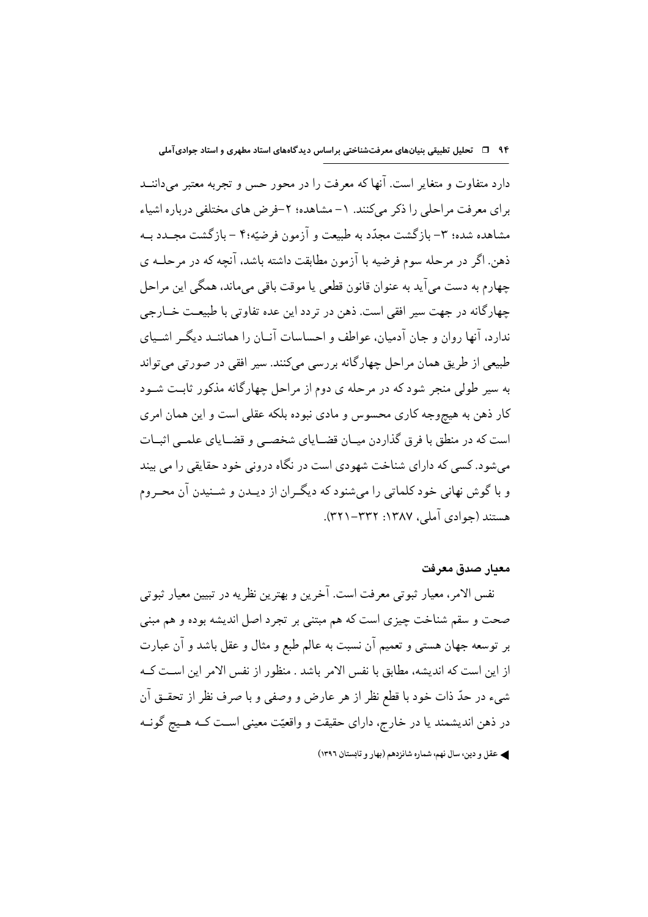دارد متفاوت و متغایر است. آنها که معرفت را در محور حس و تجربه معتبر مے داننــد برای معرفت مراحلی را ذکر میکنند. ١- مشاهده؛ ٢-فرض های مختلفی درباره اشیاء مشاهده شده؛ ٣- بازگشت مجدّد به طبیعت و آزمون فرضیّه؛۴ – بازگشت مجــدد بــه ذهن. اگر در مرحله سوم فرضیه با آزمون مطابقت داشته باشد، آنچه که در مرحلــه ی چهارم به دست مي آيد به عنوان قانون قطعي يا موقت باقي مي ماند، همگي اين مراحل جهار گانه در جهت سپر افقی است. ذهن در تردد این عده تفاوتی با طبیعـت خــارجی ندارد، آنها روان و جان آدمیان، عواطف و احساسات آنــان را هماننــد دیگــر اشــیای طبيعي از طريق همان مراحل چهارگانه بررسي مي کنند. سير افقي در صورتي مي تواند به سیر طولی منجر شود که در مرحله ی دوم از مراحل چهارگانه مذکور ثابت شـود کار ذهن به هیچوجه کاری محسوس و مادی نبوده بلکه عقلی است و این همان امری است که در منطق با فرق گذاردن میـان قضـایای شخصـی و قضـایای علمـی اثبـات می شود. کسی که دارای شناخت شهودی است در نگاه درونی خود حقایقی را می بیند و با گوش نهانی خود کلماتی را می شنود که دیگـران از دیـدن و شــنیدن آن محـروم هستند (جوادي آملي، ۱۳۸۷: ۳۲۲–۲۲۱).

#### معيار صدق معرفت

نفس الامر ، معيار ثبوتي معرفت است. آخرين و بهترين نظريه در تبيين معيار ثبوتي صحت و سقم شناخت چیزی است که هم مبتنی بر تجرد اصل اندیشه بوده و هم مبنی بر توسعه جهان هستبي و تعميم آن نسبت به عالم طبع و مثال و عقل باشد و آن عبارت از این است که اندیشه، مطابق با نفس الامر باشد . منظور از نفس الامر این است کـه شيء در حدّ ذات خود با قطع نظر از هر عارض و وصفي و با صرف نظر از تحقــق آن در ذهن اندیشمند یا در خارج، دارای حقیقت و واقعیّت معینی اسـت کــه هــیج گونــه

۹۴٪ □ تحلیل تطبیقی بنیانهای معرفتشناختی براساس دیدگاههای استاد مطهری و استاد جوادی آملی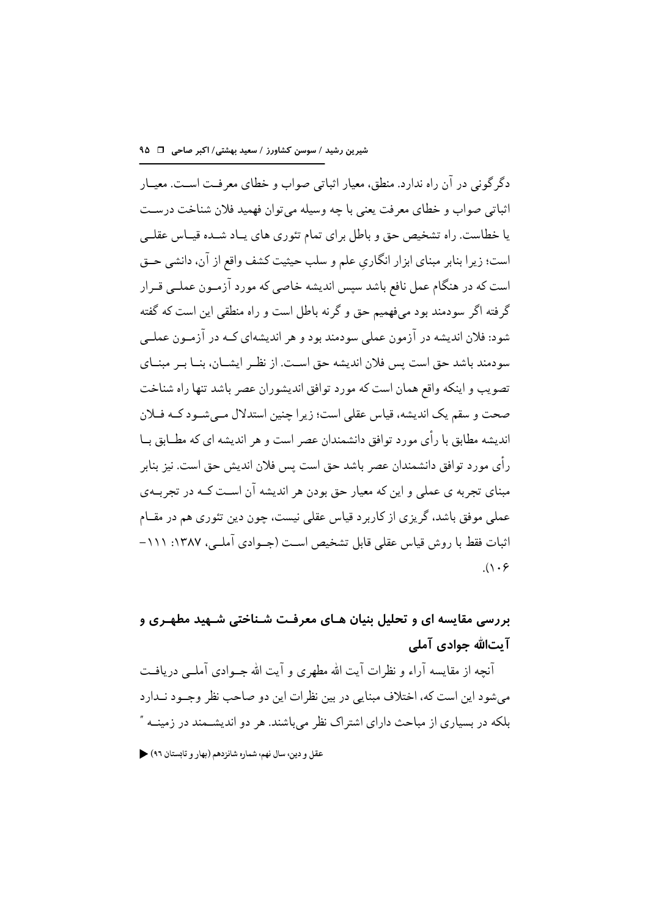دگر گونی در آن راه ندارد. منطق، معیار اثباتی صواب و خطای معرفت است. معیــار اثباتی صواب و خطای معرفت یعنی با چه وسیله می توان فهمید فلان شناخت درست یا خطاست. راه تشخیص حق و باطل برای تمام تئوری های پـاد شــده قیـاس عقلــی است؛ زیر ا بنابر مبنای ابزار انگاری علم و سلب حیثیت کشف واقع از آن، دانشی حــق است که در هنگام عمل نافع باشد سپس اندیشه خاصی که مورد آزمـون عملــی قــرار گرفته اگر سودمند بود میفهمیم حق و گرنه باطل است و راه منطقی این است که گفته شود: فلان اندیشه در آزمون عملی سودمند بود و هر اندیشهای کـه در آزمــون عملــی سودمند باشد حق است پس فلان اندیشه حق است. از نظـر ایشــان، بنــا بــر مبنــای تصويب و اينكه واقع همان است كه مورد توافق انديشوران عصر باشد تنها راه شناخت صحت و سقم یک اندیشه، قیاس عقلی است؛ زیرا چنین استدلال مـی شـود کـه فـلان اندیشه مطابق با رأی مورد توافق دانشمندان عصر است و هر اندیشه ای که مطــابق بــا رأى مورد توافق دانشمندان عصر باشد حق است پس فلان انديش حق است. نيز بنابر مبنای تجربه ی عملی و این که معیار حق بودن هر اندیشه آن است کــه در تجربــهی عملي موفق باشد، گريزي از كاربر د قياس عقلي نيست، چون دين تئوري هم در مقــام اثبات فقط با روش قياس عقلي قابل تشخيص اسـت (جــوادي آملــي، ١٣٨٧: ١١١١–  $(1.9$ 

پررسی مقایسه ای و تحلیل بنیان هـای معرفـت شـناختی شـهید مطهـری و آپتالله جوادی آملی

آنچه از مقایسه آراء و نظرات آیت الله مطهری و آیت الله جـوادی آملــی دریافـت مي شود اين است كه، اختلاف مبنايي در بين نظرات اين دو صاحب نظر وجـود نــدارد بلکه در بسیاری از مباحث دارای اشتراک نظر می باشند. هر دو اندیشــمند در زمینــه "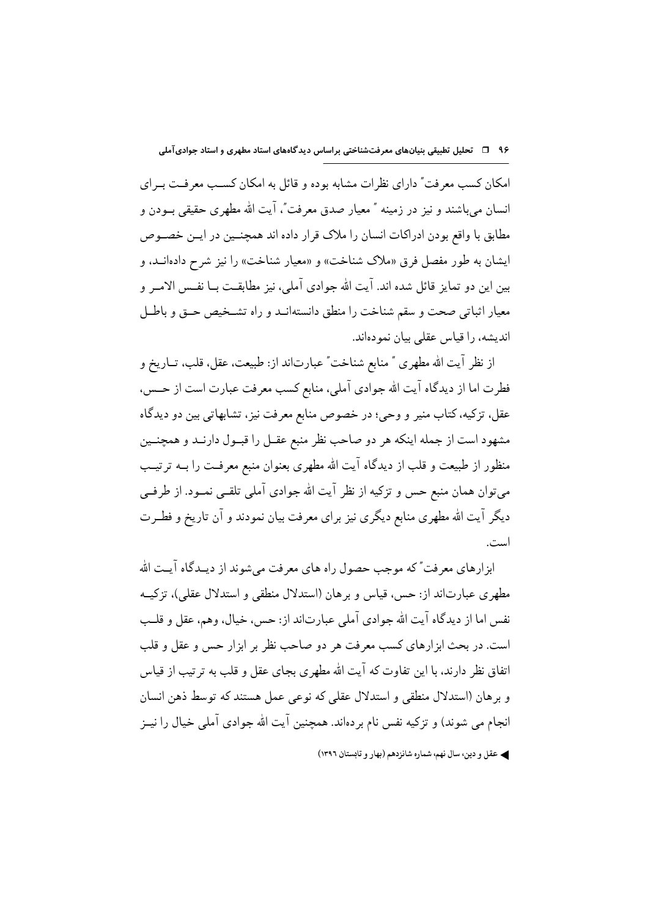امکان کسب معرفت" دارای نظرات مشابه بوده و قائل به امکان کسب معرفـت بـرای انسان ميباشند و نيز در زمينه " معيار صدق معرفت"، آيت الله مطهري حقيقي بــودن و مطابق با واقع بودن ادراكات انسان را ملاک قرار داده اند همچنــین در ایــن خصــوص ایشان به طور مفصل فرق «ملاک شناخت» و «معیار شناخت» را نیز شرح دادهانــد، و بين اين دو تمايز قائل شده اند. آيت الله جوادي آملي، نيز مطابقـت بــا نفــس الامــر و معيار اثباتي صحت و سقم شناخت را منطق دانستهانـد و راه تشـخيص حـق و باطـل اندیشه، را قیاس عقلی بیان نمودهاند.

از نظر آيت الله مطهر ي " منابع شناخت" عبارتاند از: طبيعت، عقل، قلب، تــاريخ و فطرت اما از ديدگاه آيت الله جوادي آملي، منابع كسب معرفت عبارت است از حــس، عقل، تزکیه، کتاب منیر و وحی؛ در خصوص منابع معرفت نیز، تشابهاتی بین دو دیدگاه مشهود است از جمله اینکه هر دو صاحب نظر منبع عقــل را قبــول دارنــد و همچنــین منظور از طبیعت و قلب از دیدگاه آیت الله مطهری بعنوان منبع معرفـت را بــه ترتیــب میتوان همان منبع حس و تزکیه از نظر آیت الله جوادی آملی تلقــی نمــود. از طرفــی دیگر آیت الله مطهری منابع دیگری نیز برای معرفت بیان نمودند و آن تاریخ و فطـرت است.

ابزارهای معرفت " که موجب حصول راه های معرفت می شوند از دیــدگاه آیــت الله مطهري عبارتاند از: حس، قياس و برهان (استدلال منطقي و استدلال عقلي)، تزكيــه نفس اما از ديدگاه آيت الله جوادي آملي عبارتاند از: حس، خيال، وهم، عقل و قلـب است. در بحث ابزارهای کسب معرفت هر دو صاحب نظر بر ابزار حس و عقل و قلب اتفاق نظر دارند، با این تفاوت که آیت الله مطهری بجای عقل و قلب به ترتیب از قیاس و بر هان (استدلال منطقی و استدلال عقلی که نوعی عمل هستند که توسط ذهن انسان انجام می شوند) و تزکیه نفس نام بر دهاند. همچنین آیت الله جوادی آملی خیال را نیــز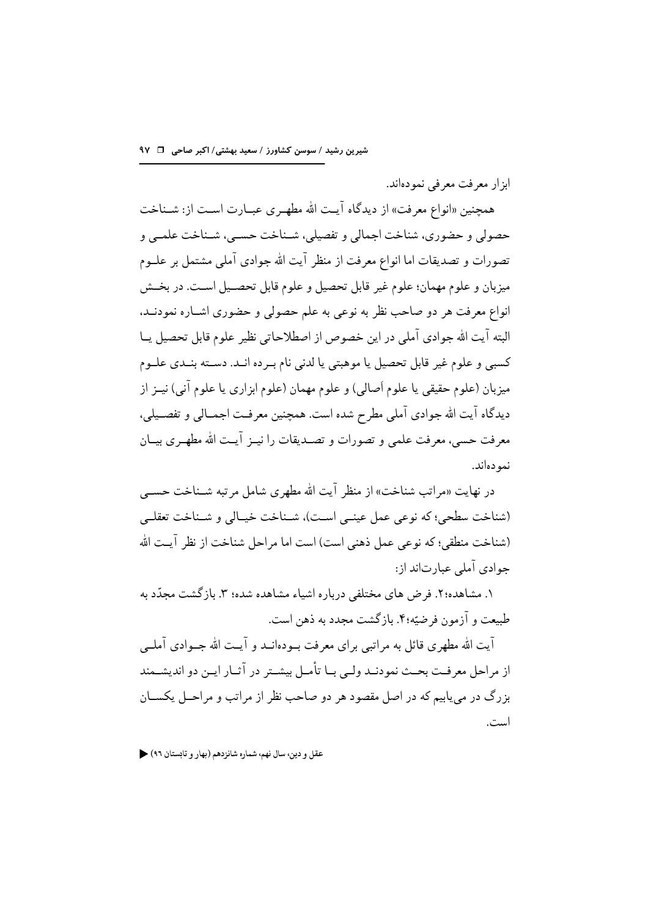ابز ار معرفت معرفی نمودهاند.

همچنین «انواع معرفت» از دیدگاه آیـت الله مطهـری عبــارت اســت از: شــناخت حصولي و حضوري، شناخت اجمالي و تفصيلي، شـناخت حسـبي، شـناخت علمـبي و تصورات و تصدیقات اما انواع معرفت از منظر آیت الله جوادی آملی مشتمل بر علــوم ميزبان و علوم مهمان؛ علوم غير قابل تحصيل و علوم قابل تحصـيل اسـت. در بخــش انواع معرفت هر دو صاحب نظر به نوعی به علم حصولی و حضوری اشـاره نمودنـد، البته آيت الله جوادي آملي در اين خصوص از اصطلاحاتي نظير علوم قابل تحصيل يــا کسبی و علوم غیر قابل تحصیل یا موهبتی یا لدنی نام بـر ده انــد. دســته بنــدی علــوم ميزبان (علوم حقيقي يا علوم أصالي) و علوم مهمان (علوم ابزاري يا علوم آني) نيــز از ديدگاه آيت الله جوادي آملي مطرح شده است. همچنين معرفـت اجمــالي و تفصــيلي، معرفت حسى، معرفت علمى و تصورات و تصـديقات را نيــز آيــت الله مطهــرى بيــان نمو دەاند.

در نهایت «مراتب شناخت» از منظر آیت الله مطهری شامل مرتبه شـناخت حســی (شناخت سطحي؛ كه نوعي عمل عينــي اسـت)، شــناخت خيــالى و شــناخت تعقلــي (شناخت منطقے؛ که نوعے عمل ذهنے است) است اما مراحل شناخت از نظر آیـت الله جوادی آملے عبارتاند از:

۱. مشاهده؛۲. فرض های مختلفی درباره اشیاء مشاهده شده؛ ۳. بازگشت مجدّد به طبیعت و آزمون فرضیّه؛۴. بازگشت مجدد به ذهن است.

آیت الله مطهری قائل به مراتبی برای معرفت بــودهانــد و آیــت الله جــوادی آملــی از مراحل معرفت بحـث نمودنـد ولـي بــا تأمــل بيشــتر در آثــار ايــن دو انديشــمند بزرگ در می پاییم که در اصل مقصود هر دو صاحب نظر از مراتب و مراحــل یکســان است.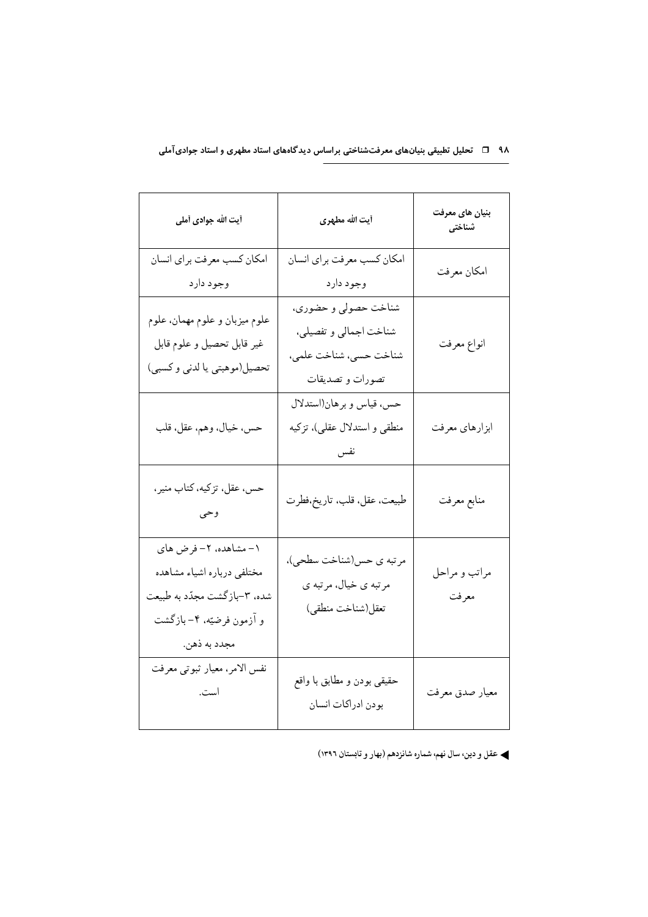| أيت الله جوادي أملي                                                                                                              | أيت الله مطهري                                                                               | بنیان های معرفت<br>شناختی |
|----------------------------------------------------------------------------------------------------------------------------------|----------------------------------------------------------------------------------------------|---------------------------|
| امكان كسب معرفت براي انسان<br>وجود دارد                                                                                          | امكان كسب معرفت براي انسان<br>وجود دارد                                                      | امكان معرفت               |
| علوم میزبان و علوم مهمان، علوم<br>غير قابل تحصيل و علوم قابل<br>تحصيل(موهبتي يا لدني و كسبي)                                     | شناخت حصولي و حضوري،<br>شناخت اجمالي و تفصيلي،<br>شناخت حسي، شناخت علمي،<br>تصورات و تصديقات | انواع معرفت               |
| حس، خيال. وهم. عقل. قلب                                                                                                          | حس، قياس و برهان(استدلال<br>منطقی و استدلال عقلبی)، تزکیه<br>نفس                             | ابزارهاي معرفت            |
| حس، عقل، تزكيه، كتاب منير،<br>وحي                                                                                                | طبيعت، عقل، قلب، تاريخ،فطرت                                                                  | منابع معرفت               |
| ۱– مشاهده، ۲– فرض های<br>مختلفي درباره اشياء مشاهده<br>شده، ۳-بازگشت مجدّد به طبیعت<br>و آزمون فرضیّه، ۴– بازگشت<br>مجدد به ذهن. | مرتبه ي حس(شناخت سطحي)،<br>مرتبه ي خيال، مرتبه ي<br>تعقل(شناخت منطقي)                        | مراتب و مراحل<br>معرفت    |
| نفس الامر، معيار ثبوتي معرفت<br>است.                                                                                             | حقیقی بودن و مطابق با واقع<br>بودن ادراكات انسان                                             | معيار صدق معرفت           |

# ۹۸ ٪ □ تحلیل تطبیقی بنیانهای معرفتشناختی براساس دیدگاههای استاد مطهری و استاد جوادیآملی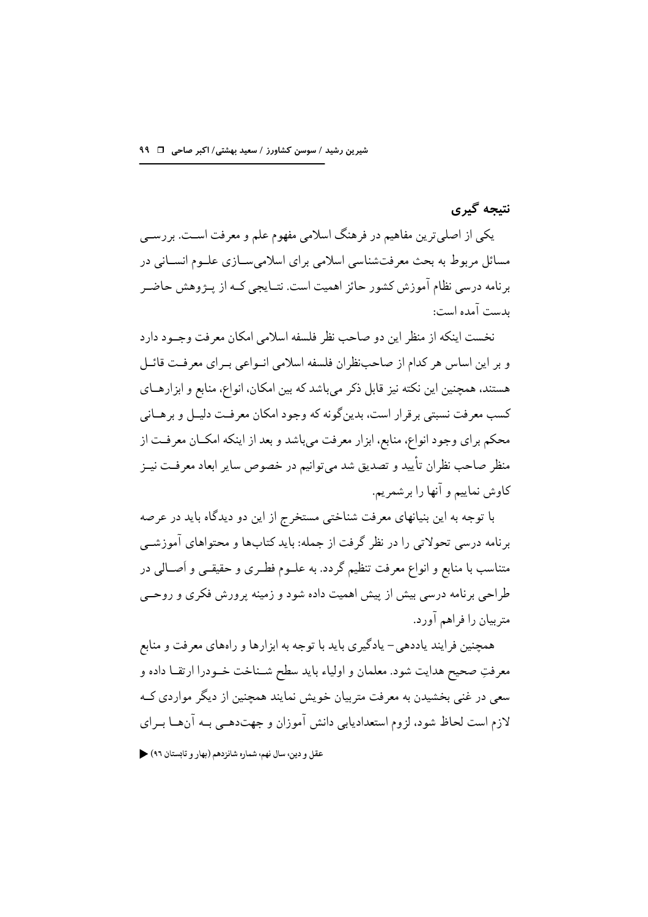# نتبجه گېري

یکی از اصلی ترین مفاهیم در فرهنگ اسلامی مفهوم علم و معرفت اسـت. بررســی مسائل مربوط به بحث معرفتشناسی اسلامی برای اسلامی ســازی علــوم انســانی در بر نامه درسی نظام آموزش کشور حائز اهمیت است. نتــایجی کــه از پــژوهش حاضــر بدست آمده است:

نخست اينكه از منظر اين دو صاحب نظر فلسفه اسلامي امكان معرفت وجــود دارد و بر این اساس هر کدام از صاحب نظران فلسفه اسلامی انسواعی بسرای معرفت قائبل هستند، همچنین این نکته نیز قابل ذکر میباشد که بین امکان، انواع، منابع و ابزارهــای کسب معرفت نسبتی بر قرار است، بدین گونه که وجود امکان معرفت دلیــل و بر هــانی محکم برای وجود انواع، منابع، ابزار معرفت میباشد و بعد از اینکه امکــان معرفــت از منظر صاحب نظران تأييد و تصديق شد مي توانيم در خصوص ساير ابعاد معرفـت نيــز كاوش نماييم و آنها را برشمريم.

با توجه به این بنیانهای معرفت شناختی مستخرج از این دو دیدگاه باید در عرصه برنامه درسی تحولاتی را در نظر گرفت از جمله: باید کتابها و محتواهای آموزشــی متناسب با منابع و انواع معرفت تنظیم گردد. به علــوم فطـري و حقیقــی و اَصــالی در طراحی بر نامه درسی بیش از پیش اهمیت داده شود و زمینه برورش فکری و روحــی متربیان را فراهم آورد.

همچنین فرایند یاددهی- یادگیری باید با توجه به ابزارها و راههای معرفت و منابع معرفتِ صحيح هدايت شود. معلمان و اولياء بايد سطح شــناخت خــودرا ارتقــا داده و سعی در غنی بخشیدن به معرفت متربیان خویش نمایند همحنین از دیگر مواردی کـه لازم است لحاظ شود، لزوم استعدادیابی دانش آموزان و جهتدهـی بـه آنهــا بـرای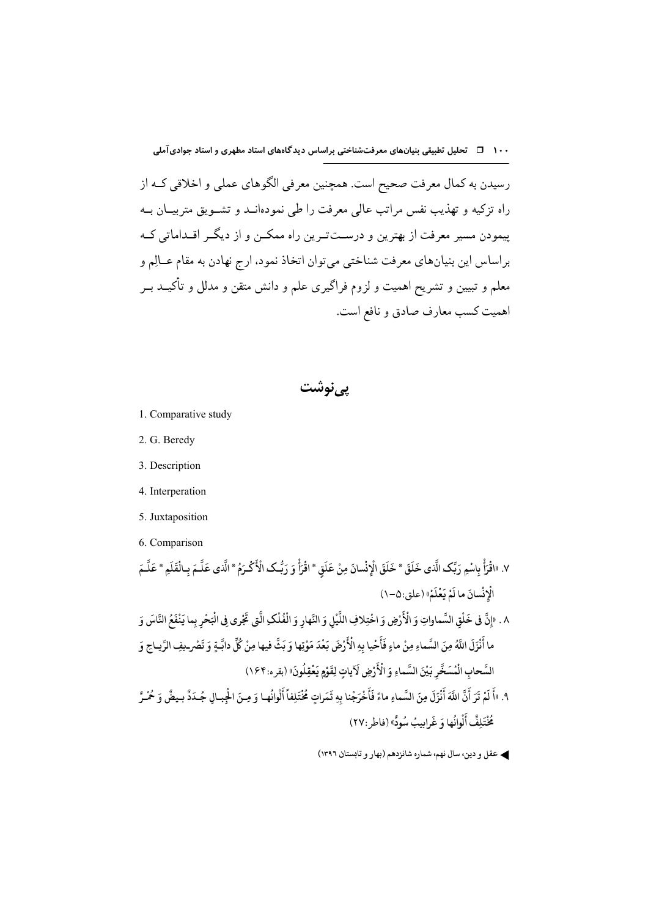رسيدن به كمال معرفت صحيح است. همچنين معرفي الگوهاي عملي و اخلاقي كــه از راه تزکیه و تهذیب نفس مراتب عالی معرفت را طی نمودهانـد و تشـویق متربیـان بـه بيمودن مسير معرفت از بهترين و درســتتـرين راه ممكــن و از ديگــر اقــداماتي كــه براساس اين بنيانهاي معرفت شناختي ميتوان اتخاذ نمود، ارج نهادن به مقام عــالِم و معلم و تبیین و تشریح اهمیت و لزوم فراگیری علم و دانش متقن و مدلل و تأکیــد بــر اهميت كسب معارف صادق و نافع است.

يىنوشت

- 1. Comparative study
- 2. G. Beredy
- 3. Description
- 4. Interperation
- 5. Juxtaposition
- 6. Comparison
- ٧. «اقْرَأْ بِاسْمِ رَبِّك الَّذى خَلَقَ \* خَلَقَ الْإِنْسانَ مِنْ عَلَق \* اقْرَأْ وَ رَبُّك الْأَكْرَمُ \* الَّذى عَلَّـمَ بِالْقَلَمِ \* عَلَّـمَ الْإِنْسانَ ما لَمْ يَعْلَمْ» (علق:٥-١)
- ٨ . «إنَّ في خَلْقِ السَّماواتِ وَ الْأَرْضِ وَ اخْتِلافِ اللَّيْلِ وَ التَّهارِ وَ الْفُلْكِ الَّتِي تَجْرى في الْبَحْر بما يَنْفَعُ النَّاسَ وَ ما أَنْزَلَ اللَّهُ مِنَ السَّماءِ مِنْ ماءٍ فَأَحْيا بِهِ الْأَرْضَ بَعْدَ مَوْتِها وَ بَثَّ فيها مِنْ كُلِّ دابَّـةٍ وَ تَصْرِـيفِ الرِّيـاجِ وَ السَّحاب الْمُسَخَّر بَيْنَ السَّماءِ وَ الْأَرْضِ لَآياتٍ لِقَوْمٍ يَغْقِلُونَ» (بقره: ١۶۴)
- ٩. «أَ لَمْ تَرَ أَنَّ اللَّهَ أَنْزَلَ مِنَ السَّماءِ ماءً فَأَخْرَجْنا بهِ ثَمَراتٍ مُخْتَلِفاً أَلْوانُهـا وَ مِنَ الْجبـال جُـدَدُّ بـيضُّ وَ حُمْـرٌ **مُخْتَلِفٌ أَلْوانُها وَ غَرابِيتُ سُودٌ» (فاط :٢٧)**

﴾ عقل و دين، سال نهم، شماره شانزدهم (بهار و تابستان ١٣٩٦)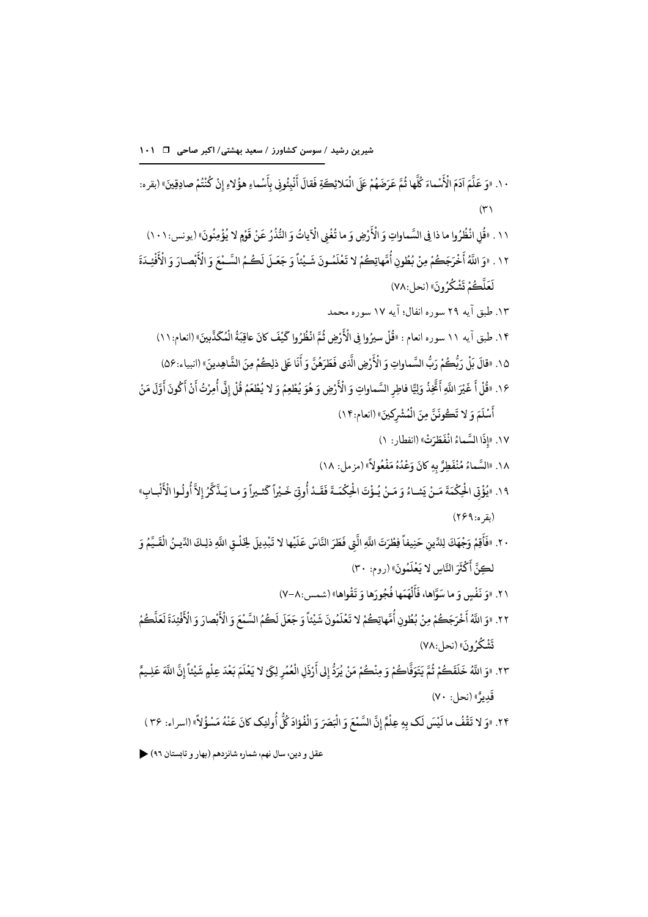١٠. «وَ عَلَّمَ آدَمَ الْأَسْماءَ كُلَّها ثُمَّ عَرَضَهُمْ عَلَى الْمَلائِكَةِ فَقالَ أَنْبِئُونِي بأَسْماءِ هؤُلاءِ إنْ كُنْتُمْ صادِقِينَ» (بقر ه:  $(\Upsilon)$ ١١ . «قُل انْظُرُوا ما ذا في السَّماوات وَ الْأَرْضِ وَ ما تُغْنِي الْآياتُ وَ التُّذُرُ عَنْ قَوْمِ لا يُؤْمنُونَ» (يونس: ١٠١) ١٢ . «وَ اللَّهُ أَخْرَجَكُمْ مِنْ بُطُونِ أُمَّهاتِكُمْ لا تَعْلَمُونَ شَـيْئاً وَ جَعَـلَ لَكُـمُ السَّـمْعَ وَ الْأَبْصـارَ وَ الْأَفْئِـدَةَ لَعَلَّكُمْ تَشْكُرُونَ» (نحل:٧٨) ١٣. طبق آيه ٢٩ سوره انفال؛ آيه ١٧ سوره محمد ١۴. طبق آيه ١١ سوره انعام : «قُلْ سيرُوا في الْأَرْضِ ثُمَّ انْظُرُوا كَيْفَ كانَ عاقِبَةُ الْمُكَذِّبينَ» (انعام:١١) ١۵. «قالَ بَلْ رَبُّكُمْ رَبُّ السَّماوات وَ الْأَرْضِ الَّذي فَطَرَهُنَّ وَ أَنَا عَلِ ذلِكُمْ مِنَ الشّاهِدينَ» (انبياء: ٥۶) ١۶. «قُلْ أَ غَيْرَ اللَّهِ أَنَّخِذُ وَلِيًّا فاطِر السَّماوات وَ الْأَرْضِ وَ هُوَ يُطْعمُ وَ لا يُطْعَمُ قُلْ إنِّي أُمِرْتُ أَنْ أَكُونَ أَوَّلَ مَنْ أَسْلَمَ وَ لا تَكُونَنَّ مِنَ الْمُشْرِكِينَ» (انعام:١٤) ١٧. «إذَا السَّماءُ انْفَطَرَتْ» (انفطار: ١) ١٨. «السَّماءُ مُنْفَطِرُّ به كانَ وَعْدُهُ مَفْعُولاً» (مز مل: ١٨) ١٩. «يُؤْتِي الْحِكْمَةَ مَنْ يَشاءُ وَ مَنْ يُؤْتَ الْحِكْمَـةَ فَقَـدْ أُوتِيَ خَـيْراً كَثـيراً وَ ما يَـذَّكَّرُ إِلاَّ أُولُـوا الْأَلْبـابِ» (بقره:۶۹) ٢٠. «فَأَقِمْ وَجْهَكَ لِلدِّينِ حَنِيفاً فِطْرَتَ اللَّهِ الَّتِي فَطَرَ النَّاسَ عَلَيْها لا تَبْدِيلَ لِخَلْـق اللَّهِ ذلِـكَ الدِّيـنُ الْقَـيِّمُ وَ لڪِّنَّ أَكْثَرَ النَّاسِ لا يَعْلَمُونَ» (روم: ٣٠)

- ٢١. «وَ نَفْسٍ وَ ما سَوَّاها، فَأَلْهَمَها فُجُورَها وَ تَقْواها» (شمس:٨-٧)
- ٢٢. «وَ اللَّهُ أَخْرَجَكُمْ مِنْ بُظُونٍ أُمَّهاتِكُمْ لا تَعْلَمُونَ شَيْئاً وَ جَعَلَ لَكُمُ السَّمْعَ وَ الْأَنِصارَ وَ الْأَفْئِدَةَ لَعَلَّكُمْ تَشْكُرُونَ» (نحل:٧٨)
- ٢٣. «وَ اللَّهُ خَلَقَكُمْ ثُمَّ يَتَوَفَّاكُمْ وَ مِنْكُمْ مَنْ يُرَدُّ إِلى أَرْذَلِ الْعُمُرِ لِكَئ لا يَعْلَمَ بَعْدَ عِلْمٍ شَيْئاً إِنَّ اللَّهَ عَلِـيمٌ قَدِيرٌ» (نحل: ٧٠)

٢۴. «وَ لا تَقْفُ ما لَيْسَ لَكِ بِهِ عِلْمٌ إِنَّ السَّمْعَ وَ الْبَصَرَ وَ الْفُؤادَ كُلُّ أُولئِك كانَ عَنْهُ مَسْؤُلاً» (اسراء: ٣۶ )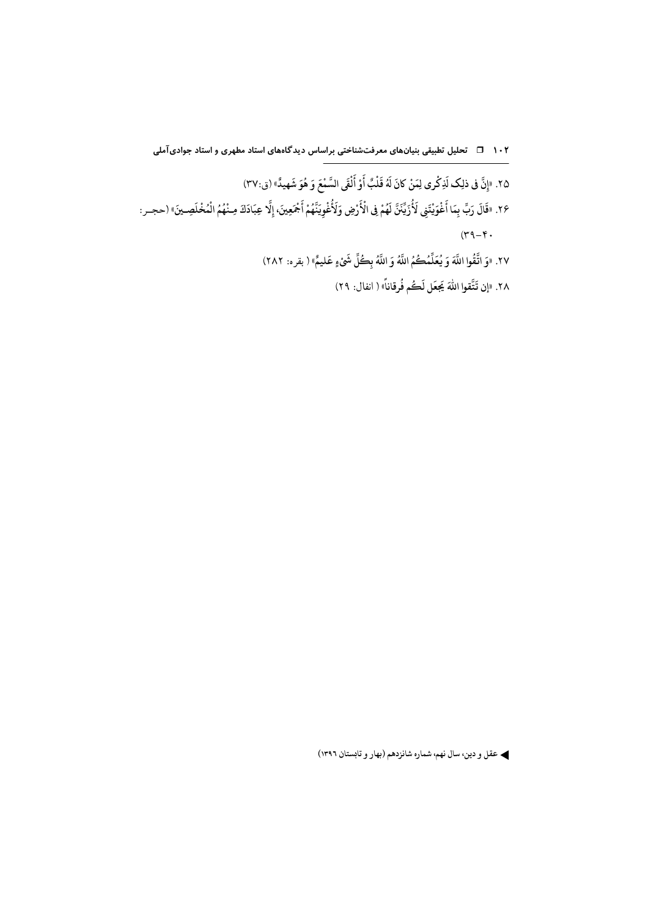۱۰۲ □ تحلیل تطبیقی بنیانهای معرفتشناختی براساس دیدگاههای استاد مطهری و استاد جوادیآملی ٢۵. «إِنَّ فِي ذلِكِ لَذِكْرِي لِمَنْ كانَ لَهُ قَلْبٌ أَوْ أَلْقَى السَّمْعَ وَ هُوَ شَهِيدًّ» (ق:٣٧) ٢۶. «قَالَ رَبِّ بِمَا أَغْوَيْتَنِي لَأُزَيِّنَنَّ لَهُمْ فِي الْأَرْضِ وَلَأُغْوِيَنَّهُمْ أَجْمَعِينَ، إِلَّا عِبَادَكَ مِـنْهُمُ الْمُخْلَصِـينَ» (حجـر:  $(\gamma q - \gamma)$ ٢٧. «وَ اتَّقُوا اللَّهَ وَ يُعَلِّمُكُمُ اللَّهُ وَ اللَّهُ بِكُلِّ شَىْءٍ عَليمٌ» ( بقره: ٢٨٢) ٢٨. «إن تَتَّقوا اللَّهَ يَجعَل لَكُم فُرقاناً» ( انفال: ٢٩)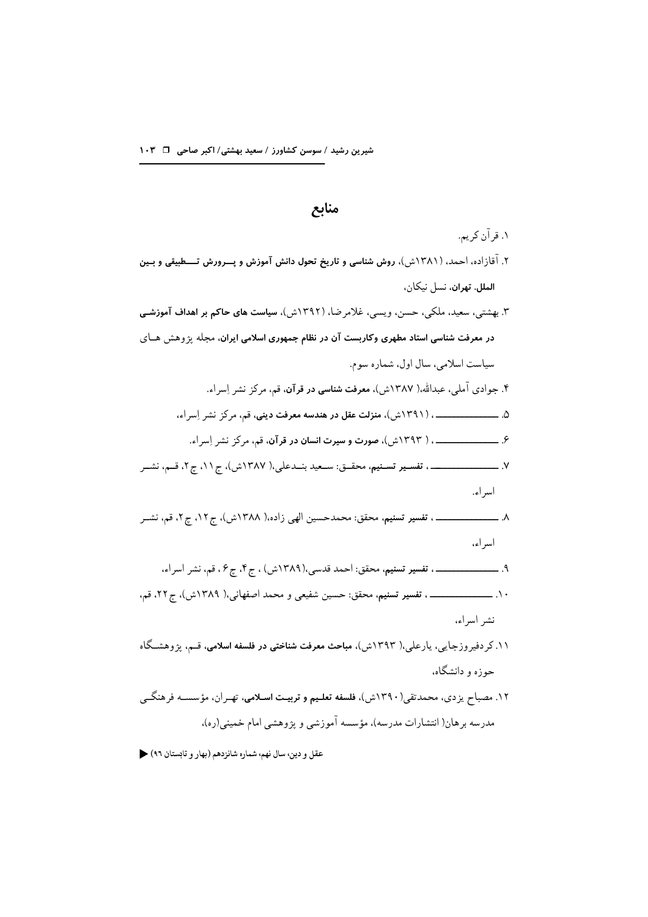## منابع

- ۱. قر آن کر یم.
- ۲. آقازاده، احمد، (۱۳۸۱ش)، روش شناسی و تاریخ تحول دانش آموزش و پــرورش تــــطبیقی و بــین الملل. تهران، نسل نيكان، ۳. بهشتی، سعید، ملکی، حسن، ویسی، غلامرضا، (۱۳۹۲ش)، **سیاست های حاکم بر اهداف آموزشی** در معرفت شناسی استاد مطهری وکاربست آن در نظام جمهوری اسلامی ایران، مجله پژوهش هـای سياست اسلامي، سال اول، شماره سوم. ۴. جوادي آملي، عبدالله،( ١٣٨٧ش)، معرفت شناسي در قرآن، قم، مركز نشر إسراء.
	- ۶. ــــــــــــــــــــــــــــــــــ ( ۱۳۹۳ش)، صورت و سیرت انسان در قرآن، قم، مرکز نشر اِسراء.
- ٧. \_\_\_\_\_\_\_\_\_\_\_\_\_\_\_\_\_\_\_ تفسـير تسـنيم، محقــق: ســعيد بنــدعلي،( ١٣٨٧ش)، ج١١، چ٢، قــم، نشــر اسر اء.
- ٨. ــــــــــــــــــــــــــــــــــ ، تفسير تسنيم، محقق: محمدحسين الهي زاده،( ١٣٨٨ش)، ج١٢، چ٢، قم، نشــر اسر اء،
	- ٩. ــــــــــــــــــــــــ ، تفسير تسنيم، محقق: احمد قدسي،(١٣٨٩ش) ، ج۴، ج۶، قم، نشر اسراء،
- ١٠. \_\_\_\_\_\_\_\_\_\_\_\_\_\_\_\_\_ ، تفسير تسنيم، محقق: حسين شفيعي و محمد اصفهاني،( ١٣٨٩ش)، ج٢٢، قم، نشر اسراء،
- ۱۱. کردفیروزجایی، یارعلی،( ۱۳۹۳ش)، مباحث معرفت شناختی در فلسفه اسلامی، قــم، پژوهشــگاه حوزه و دانشگاه،
- ۱۲. مصباح یز دی، محمدتقی(۱۳۹۰ش)، فلسفه تعلیم و تربیـت اسـلامی، تهـران، مؤسسـه فرهنگـی مدرسه بر هان( انتشارات مدرسه)، مؤسسه آموزشی و یژوهشی امام خمینی(ره)،